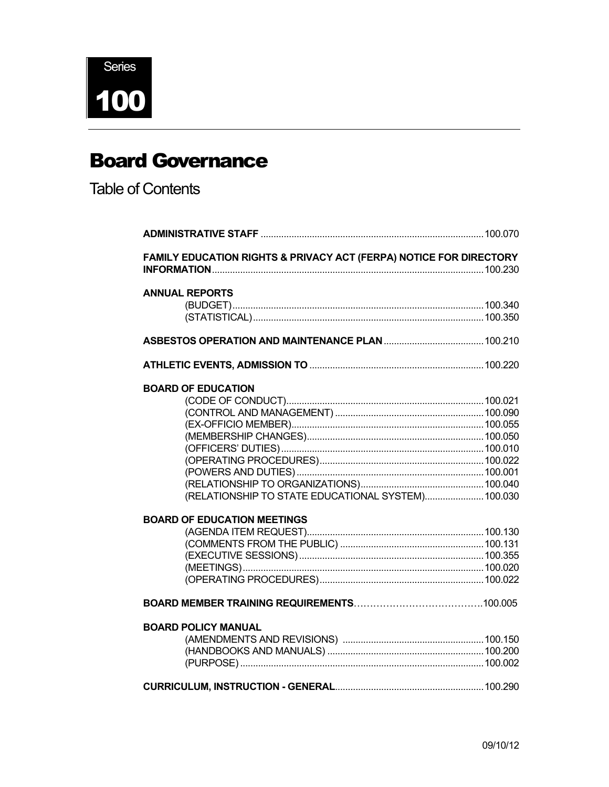

# Board Governance

Table of Contents

| FAMILY EDUCATION RIGHTS & PRIVACY ACT (FERPA) NOTICE FOR DIRECTORY |  |
|--------------------------------------------------------------------|--|
| <b>ANNUAL REPORTS</b>                                              |  |
|                                                                    |  |
|                                                                    |  |
|                                                                    |  |
|                                                                    |  |
| <b>BOARD OF EDUCATION</b>                                          |  |
|                                                                    |  |
|                                                                    |  |
|                                                                    |  |
|                                                                    |  |
|                                                                    |  |
|                                                                    |  |
|                                                                    |  |
|                                                                    |  |
| (RELATIONSHIP TO STATE EDUCATIONAL SYSTEM) 100.030                 |  |
| <b>BOARD OF EDUCATION MEETINGS</b>                                 |  |
|                                                                    |  |
|                                                                    |  |
|                                                                    |  |
|                                                                    |  |
|                                                                    |  |
|                                                                    |  |
| <b>BOARD POLICY MANUAL</b>                                         |  |
|                                                                    |  |
|                                                                    |  |
|                                                                    |  |
|                                                                    |  |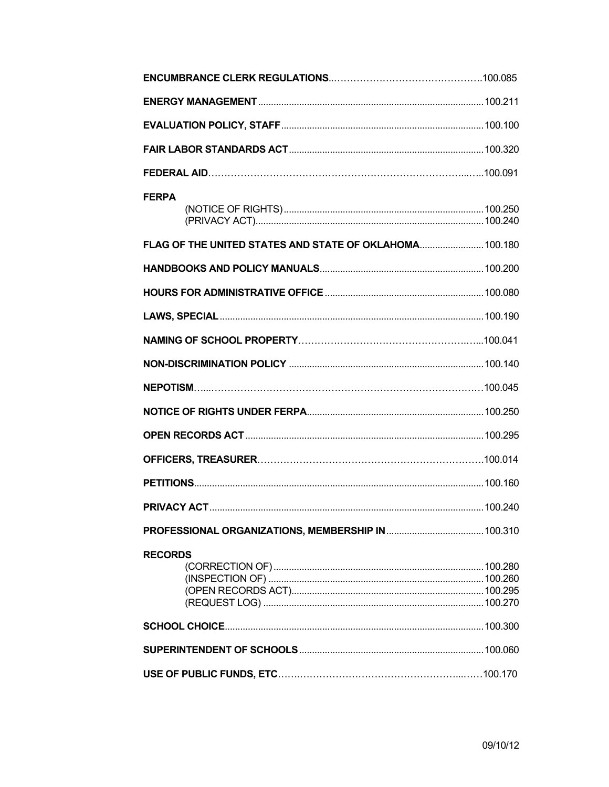| <b>FERPA</b>                                            |  |
|---------------------------------------------------------|--|
| FLAG OF THE UNITED STATES AND STATE OF OKLAHOMA 100.180 |  |
|                                                         |  |
|                                                         |  |
|                                                         |  |
|                                                         |  |
|                                                         |  |
|                                                         |  |
|                                                         |  |
|                                                         |  |
|                                                         |  |
|                                                         |  |
|                                                         |  |
|                                                         |  |
| <b>RECORDS</b>                                          |  |
|                                                         |  |
|                                                         |  |
|                                                         |  |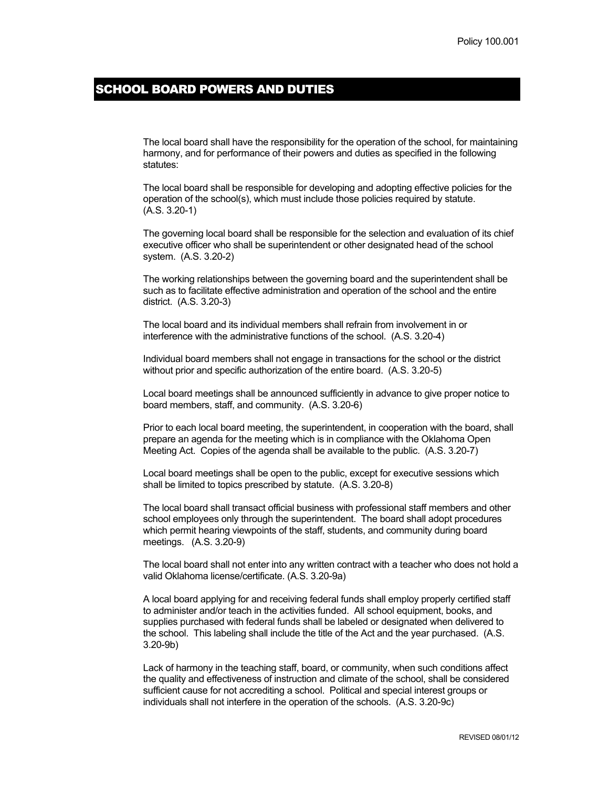### SCHOOL BOARD POWERS AND DUTIES

The local board shall have the responsibility for the operation of the school, for maintaining harmony, and for performance of their powers and duties as specified in the following statutes:

The local board shall be responsible for developing and adopting effective policies for the operation of the school(s), which must include those policies required by statute. (A.S. 3.20-1)

The governing local board shall be responsible for the selection and evaluation of its chief executive officer who shall be superintendent or other designated head of the school system. (A.S. 3.20-2)

The working relationships between the governing board and the superintendent shall be such as to facilitate effective administration and operation of the school and the entire district. (A.S. 3.20-3)

The local board and its individual members shall refrain from involvement in or interference with the administrative functions of the school. (A.S. 3.20-4)

Individual board members shall not engage in transactions for the school or the district without prior and specific authorization of the entire board. (A.S. 3.20-5)

Local board meetings shall be announced sufficiently in advance to give proper notice to board members, staff, and community. (A.S. 3.20-6)

Prior to each local board meeting, the superintendent, in cooperation with the board, shall prepare an agenda for the meeting which is in compliance with the Oklahoma Open Meeting Act. Copies of the agenda shall be available to the public. (A.S. 3.20-7)

Local board meetings shall be open to the public, except for executive sessions which shall be limited to topics prescribed by statute. (A.S. 3.20-8)

The local board shall transact official business with professional staff members and other school employees only through the superintendent. The board shall adopt procedures which permit hearing viewpoints of the staff, students, and community during board meetings. (A.S. 3.20-9)

The local board shall not enter into any written contract with a teacher who does not hold a valid Oklahoma license/certificate. (A.S. 3.20-9a)

A local board applying for and receiving federal funds shall employ properly certified staff to administer and/or teach in the activities funded. All school equipment, books, and supplies purchased with federal funds shall be labeled or designated when delivered to the school. This labeling shall include the title of the Act and the year purchased. (A.S. 3.20-9b)

Lack of harmony in the teaching staff, board, or community, when such conditions affect the quality and effectiveness of instruction and climate of the school, shall be considered sufficient cause for not accrediting a school. Political and special interest groups or individuals shall not interfere in the operation of the schools. (A.S. 3.20-9c)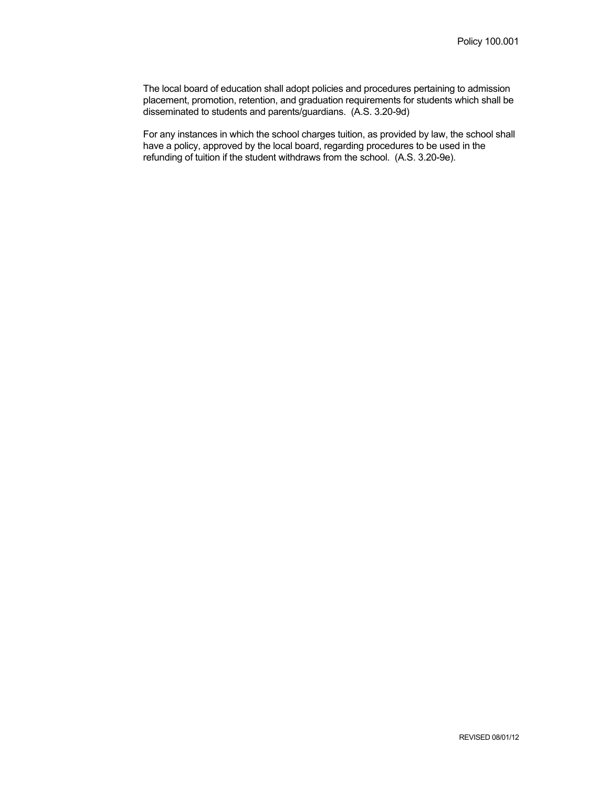The local board of education shall adopt policies and procedures pertaining to admission placement, promotion, retention, and graduation requirements for students which shall be disseminated to students and parents/guardians. (A.S. 3.20-9d)

For any instances in which the school charges tuition, as provided by law, the school shall have a policy, approved by the local board, regarding procedures to be used in the refunding of tuition if the student withdraws from the school. (A.S. 3.20-9e).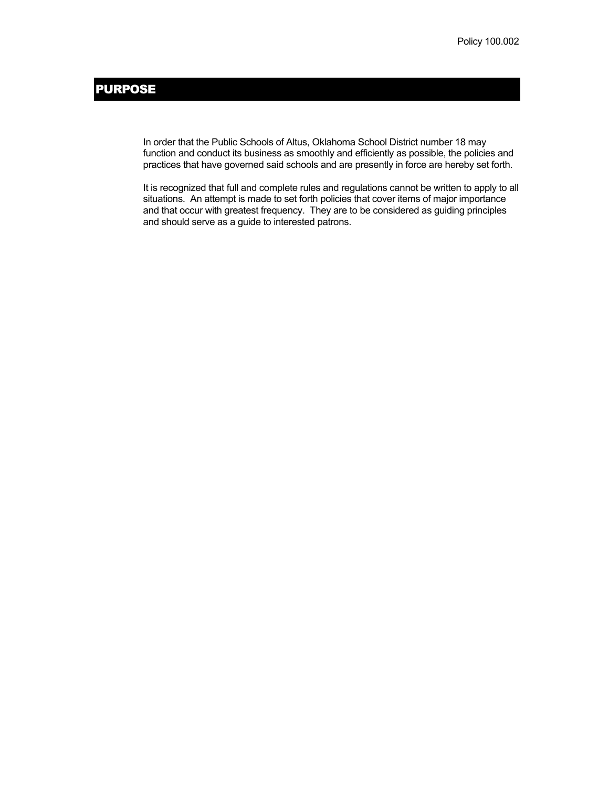### PURPOSE

In order that the Public Schools of Altus, Oklahoma School District number 18 may function and conduct its business as smoothly and efficiently as possible, the policies and practices that have governed said schools and are presently in force are hereby set forth.

It is recognized that full and complete rules and regulations cannot be written to apply to all situations. An attempt is made to set forth policies that cover items of major importance and that occur with greatest frequency. They are to be considered as guiding principles and should serve as a guide to interested patrons.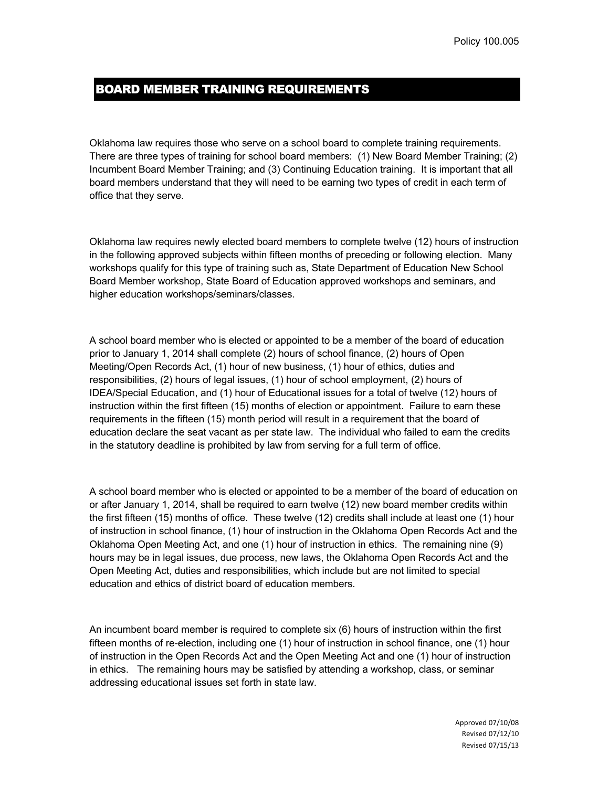### BOARD MEMBER TRAINING REQUIREMENTS

Oklahoma law requires those who serve on a school board to complete training requirements. There are three types of training for school board members: (1) New Board Member Training; (2) Incumbent Board Member Training; and (3) Continuing Education training. It is important that all board members understand that they will need to be earning two types of credit in each term of office that they serve.

Oklahoma law requires newly elected board members to complete twelve (12) hours of instruction in the following approved subjects within fifteen months of preceding or following election. Many workshops qualify for this type of training such as, State Department of Education New School Board Member workshop, State Board of Education approved workshops and seminars, and higher education workshops/seminars/classes.

A school board member who is elected or appointed to be a member of the board of education prior to January 1, 2014 shall complete (2) hours of school finance, (2) hours of Open Meeting/Open Records Act, (1) hour of new business, (1) hour of ethics, duties and responsibilities, (2) hours of legal issues, (1) hour of school employment, (2) hours of IDEA/Special Education, and (1) hour of Educational issues for a total of twelve (12) hours of instruction within the first fifteen (15) months of election or appointment. Failure to earn these requirements in the fifteen (15) month period will result in a requirement that the board of education declare the seat vacant as per state law. The individual who failed to earn the credits in the statutory deadline is prohibited by law from serving for a full term of office.

A school board member who is elected or appointed to be a member of the board of education on or after January 1, 2014, shall be required to earn twelve (12) new board member credits within the first fifteen (15) months of office. These twelve (12) credits shall include at least one (1) hour of instruction in school finance, (1) hour of instruction in the Oklahoma Open Records Act and the Oklahoma Open Meeting Act, and one (1) hour of instruction in ethics. The remaining nine (9) hours may be in legal issues, due process, new laws, the Oklahoma Open Records Act and the Open Meeting Act, duties and responsibilities, which include but are not limited to special education and ethics of district board of education members.

An incumbent board member is required to complete six (6) hours of instruction within the first fifteen months of re-election, including one (1) hour of instruction in school finance, one (1) hour of instruction in the Open Records Act and the Open Meeting Act and one (1) hour of instruction in ethics. The remaining hours may be satisfied by attending a workshop, class, or seminar addressing educational issues set forth in state law.

> Approved 07/10/08 Revised 07/12/10 Revised 07/15/13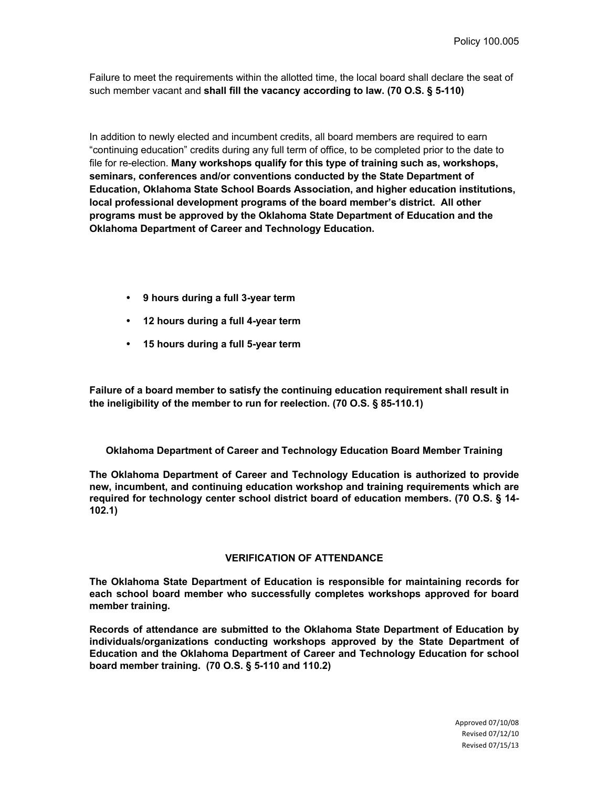Failure to meet the requirements within the allotted time, the local board shall declare the seat of such member vacant and **shall fill the vacancy according to law. (70 O.S. § 5-110)**

In addition to newly elected and incumbent credits, all board members are required to earn "continuing education" credits during any full term of office, to be completed prior to the date to file for re-election. **Many workshops qualify for this type of training such as, workshops, seminars, conferences and/or conventions conducted by the State Department of Education, Oklahoma State School Boards Association, and higher education institutions, local professional development programs of the board member's district. All other programs must be approved by the Oklahoma State Department of Education and the Oklahoma Department of Career and Technology Education.** 

- **9 hours during a full 3-year term**
- **12 hours during a full 4-year term**
- **15 hours during a full 5-year term**

**Failure of a board member to satisfy the continuing education requirement shall result in the ineligibility of the member to run for reelection. (70 O.S. § 85-110.1)**

**Oklahoma Department of Career and Technology Education Board Member Training**

**The Oklahoma Department of Career and Technology Education is authorized to provide new, incumbent, and continuing education workshop and training requirements which are required for technology center school district board of education members. (70 O.S. § 14- 102.1)**

#### **VERIFICATION OF ATTENDANCE**

**The Oklahoma State Department of Education is responsible for maintaining records for each school board member who successfully completes workshops approved for board member training.**

**Records of attendance are submitted to the Oklahoma State Department of Education by individuals/organizations conducting workshops approved by the State Department of Education and the Oklahoma Department of Career and Technology Education for school board member training. (70 O.S. § 5-110 and 110.2)**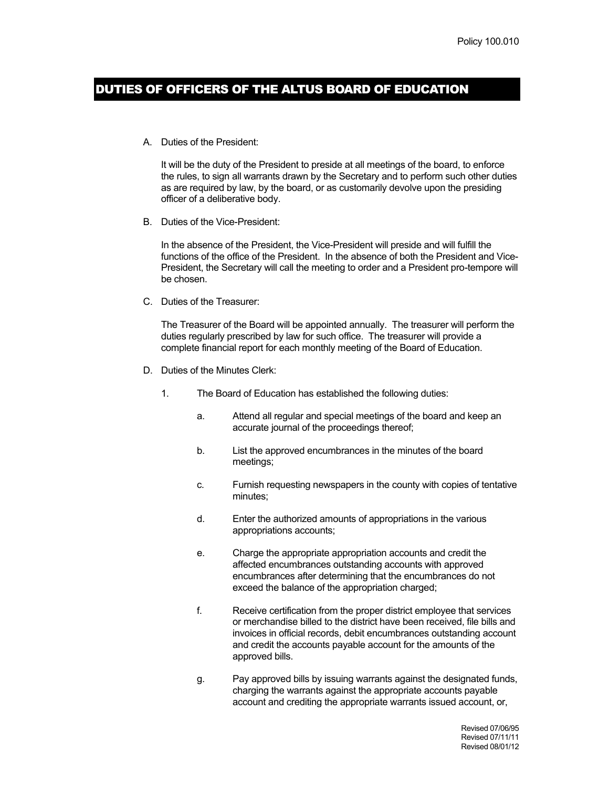### DUTIES OF OFFICERS OF THE ALTUS BOARD OF EDUCATION

A. Duties of the President:

It will be the duty of the President to preside at all meetings of the board, to enforce the rules, to sign all warrants drawn by the Secretary and to perform such other duties as are required by law, by the board, or as customarily devolve upon the presiding officer of a deliberative body.

B. Duties of the Vice-President:

In the absence of the President, the Vice-President will preside and will fulfill the functions of the office of the President. In the absence of both the President and Vice-President, the Secretary will call the meeting to order and a President pro-tempore will be chosen.

C. Duties of the Treasurer:

The Treasurer of the Board will be appointed annually. The treasurer will perform the duties regularly prescribed by law for such office. The treasurer will provide a complete financial report for each monthly meeting of the Board of Education.

- D. Duties of the Minutes Clerk:
	- 1. The Board of Education has established the following duties:
		- a. Attend all regular and special meetings of the board and keep an accurate journal of the proceedings thereof;
		- b. List the approved encumbrances in the minutes of the board meetings;
		- c. Furnish requesting newspapers in the county with copies of tentative minutes;
		- d. Enter the authorized amounts of appropriations in the various appropriations accounts;
		- e. Charge the appropriate appropriation accounts and credit the affected encumbrances outstanding accounts with approved encumbrances after determining that the encumbrances do not exceed the balance of the appropriation charged;
		- f. Receive certification from the proper district employee that services or merchandise billed to the district have been received, file bills and invoices in official records, debit encumbrances outstanding account and credit the accounts payable account for the amounts of the approved bills.
		- g. Pay approved bills by issuing warrants against the designated funds, charging the warrants against the appropriate accounts payable account and crediting the appropriate warrants issued account, or,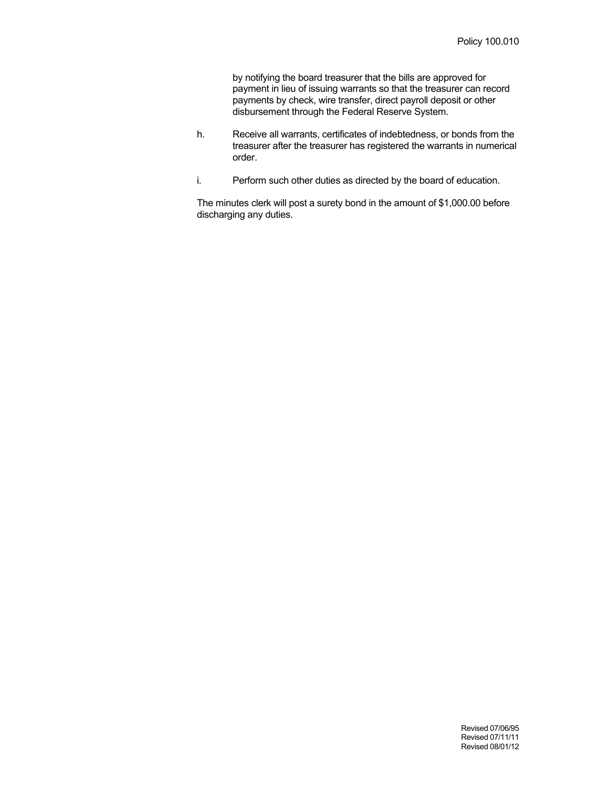by notifying the board treasurer that the bills are approved for payment in lieu of issuing warrants so that the treasurer can record payments by check, wire transfer, direct payroll deposit or other disbursement through the Federal Reserve System.

- h. Receive all warrants, certificates of indebtedness, or bonds from the treasurer after the treasurer has registered the warrants in numerical order.
- i. Perform such other duties as directed by the board of education.

The minutes clerk will post a surety bond in the amount of \$1,000.00 before discharging any duties.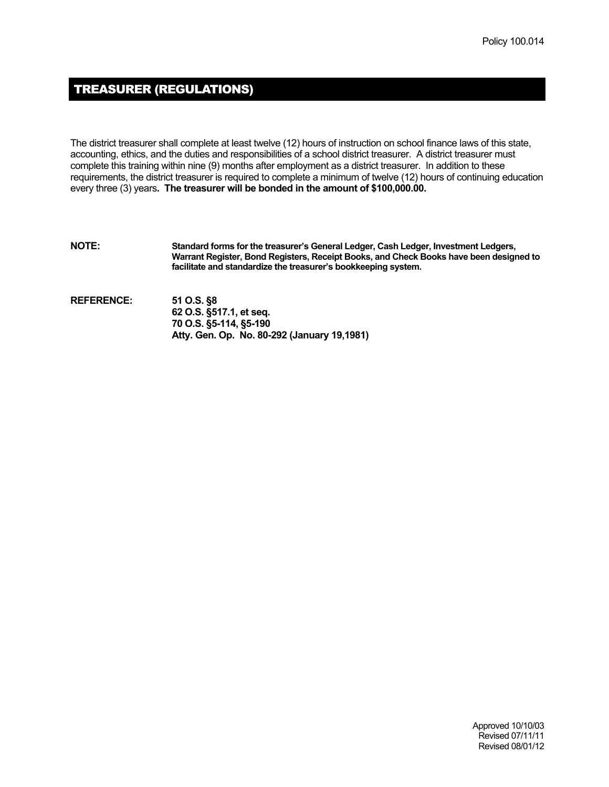### TREASURER (REGULATIONS)

The district treasurer shall complete at least twelve (12) hours of instruction on school finance laws of this state, accounting, ethics, and the duties and responsibilities of a school district treasurer. A district treasurer must complete this training within nine (9) months after employment as a district treasurer. In addition to these requirements, the district treasurer is required to complete a minimum of twelve (12) hours of continuing education every three (3) years**. The treasurer will be bonded in the amount of \$100,000.00.**

- **NOTE: Standard forms for the treasurer's General Ledger, Cash Ledger, Investment Ledgers, Warrant Register, Bond Registers, Receipt Books, and Check Books have been designed to facilitate and standardize the treasurer's bookkeeping system.**
- **REFERENCE: 51 O.S. §8 62 O.S. §517.1, et seq. 70 O.S. §5-114, §5-190 Atty. Gen. Op. No. 80-292 (January 19,1981)**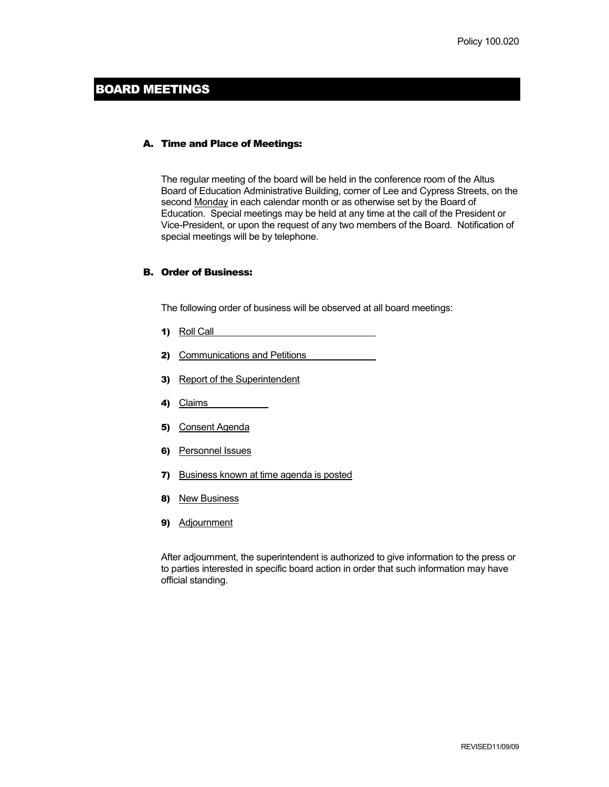### BOARD MEETINGS

#### A. Time and Place of Meetings:

The regular meeting of the board will be held in the conference room of the Altus Board of Education Administrative Building, corner of Lee and Cypress Streets, on the second Monday in each calendar month or as otherwise set by the Board of Education. Special meetings may be held at any time at the call of the President or Vice-President, or upon the request of any two members of the Board. Notification of special meetings will be by telephone.

#### B. Order of Business:

The following order of business will be observed at all board meetings:

- 1) Roll Call
- 2) Communications and Petitions
- 3) Report of the Superintendent
- 4) Claims
- 5) Consent Agenda
- 6) Personnel Issues
- 7) Business known at time agenda is posted
- 8) New Business
- 9) Adjournment

After adjournment, the superintendent is authorized to give information to the press or to parties interested in specific board action in order that such information may have official standing.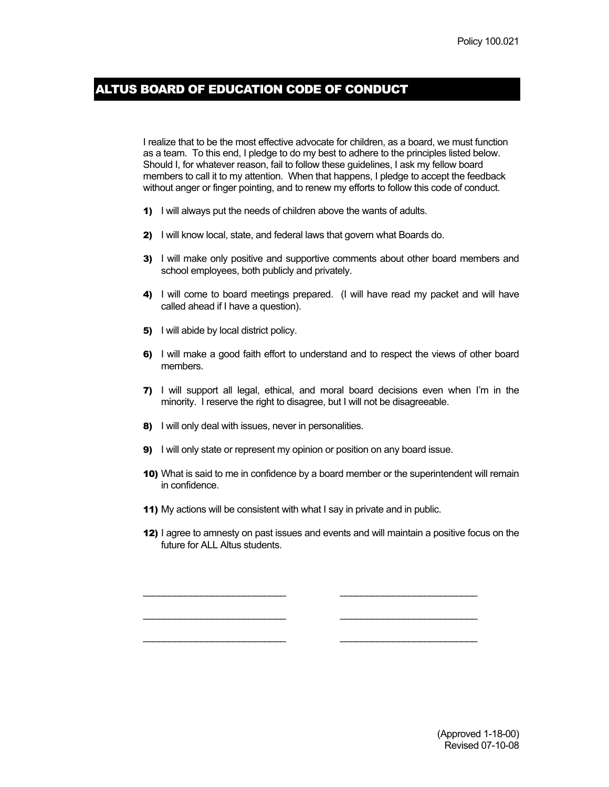### ALTUS BOARD OF EDUCATION CODE OF CONDUCT

I realize that to be the most effective advocate for children, as a board, we must function as a team. To this end, I pledge to do my best to adhere to the principles listed below. Should I, for whatever reason, fail to follow these guidelines, I ask my fellow board members to call it to my attention. When that happens, I pledge to accept the feedback without anger or finger pointing, and to renew my efforts to follow this code of conduct.

- 1) I will always put the needs of children above the wants of adults.
- 2) I will know local, state, and federal laws that govern what Boards do.
- 3) I will make only positive and supportive comments about other board members and school employees, both publicly and privately.
- 4) I will come to board meetings prepared. (I will have read my packet and will have called ahead if I have a question).
- 5) I will abide by local district policy.
- 6) I will make a good faith effort to understand and to respect the views of other board members.
- 7) I will support all legal, ethical, and moral board decisions even when I'm in the minority. I reserve the right to disagree, but I will not be disagreeable.
- 8) I will only deal with issues, never in personalities.
- 9) I will only state or represent my opinion or position on any board issue.
- 10) What is said to me in confidence by a board member or the superintendent will remain in confidence.
- 11) My actions will be consistent with what I say in private and in public.
- 12) I agree to amnesty on past issues and events and will maintain a positive focus on the future for ALL Altus students.

\_\_\_\_\_\_\_\_\_\_\_\_\_\_\_\_\_\_\_\_\_\_\_\_\_\_\_ \_\_\_\_\_\_\_\_\_\_\_\_\_\_\_\_\_\_\_\_\_\_\_\_\_\_

 $\mathcal{L}_\text{max}$  , and the contribution of the contribution of  $\mathcal{L}_\text{max}$  , and the contribution of  $\mathcal{L}_\text{max}$ 

\_\_\_\_\_\_\_\_\_\_\_\_\_\_\_\_\_\_\_\_\_\_\_\_\_\_\_ \_\_\_\_\_\_\_\_\_\_\_\_\_\_\_\_\_\_\_\_\_\_\_\_\_\_

(Approved 1-18-00) Revised 07-10-08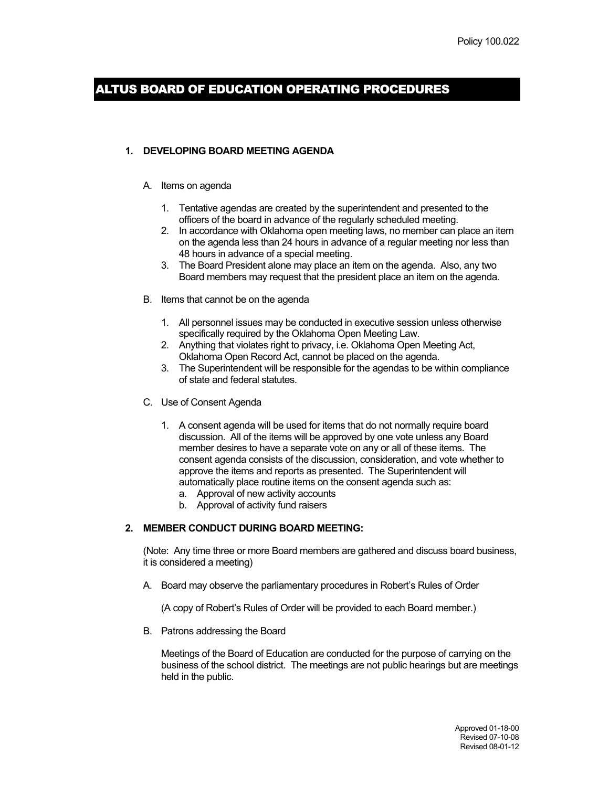### ALTUS BOARD OF EDUCATION OPERATING PROCEDURES

#### **1. DEVELOPING BOARD MEETING AGENDA**

#### A. Items on agenda

- 1. Tentative agendas are created by the superintendent and presented to the officers of the board in advance of the regularly scheduled meeting.
- 2. In accordance with Oklahoma open meeting laws, no member can place an item on the agenda less than 24 hours in advance of a regular meeting nor less than 48 hours in advance of a special meeting.
- 3. The Board President alone may place an item on the agenda. Also, any two Board members may request that the president place an item on the agenda.
- B. Items that cannot be on the agenda
	- 1. All personnel issues may be conducted in executive session unless otherwise specifically required by the Oklahoma Open Meeting Law.
	- 2. Anything that violates right to privacy, i.e. Oklahoma Open Meeting Act, Oklahoma Open Record Act, cannot be placed on the agenda.
	- 3. The Superintendent will be responsible for the agendas to be within compliance of state and federal statutes.
- C. Use of Consent Agenda
	- 1. A consent agenda will be used for items that do not normally require board discussion. All of the items will be approved by one vote unless any Board member desires to have a separate vote on any or all of these items. The consent agenda consists of the discussion, consideration, and vote whether to approve the items and reports as presented. The Superintendent will automatically place routine items on the consent agenda such as:
		- a. Approval of new activity accounts
		- b. Approval of activity fund raisers

#### **2. MEMBER CONDUCT DURING BOARD MEETING:**

(Note: Any time three or more Board members are gathered and discuss board business, it is considered a meeting)

A. Board may observe the parliamentary procedures in Robert's Rules of Order

(A copy of Robert's Rules of Order will be provided to each Board member.)

B. Patrons addressing the Board

Meetings of the Board of Education are conducted for the purpose of carrying on the business of the school district. The meetings are not public hearings but are meetings held in the public.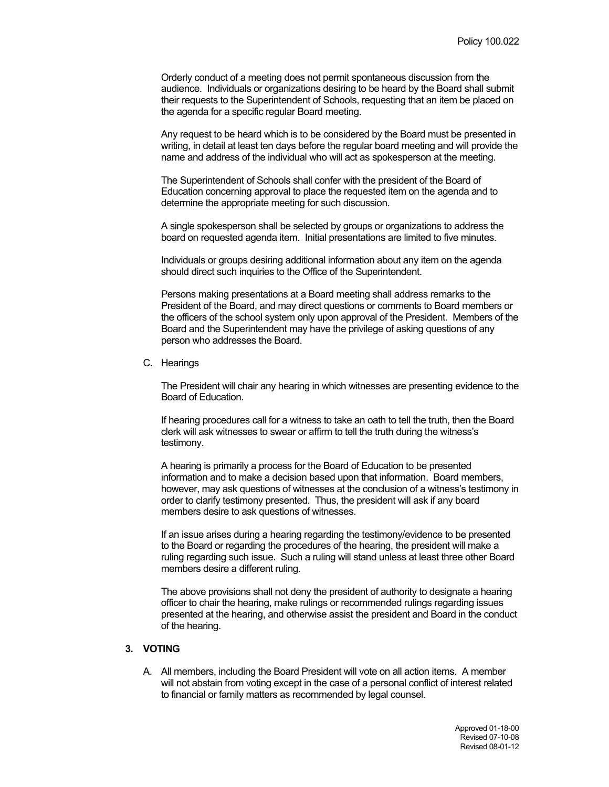Orderly conduct of a meeting does not permit spontaneous discussion from the audience. Individuals or organizations desiring to be heard by the Board shall submit their requests to the Superintendent of Schools, requesting that an item be placed on the agenda for a specific regular Board meeting.

Any request to be heard which is to be considered by the Board must be presented in writing, in detail at least ten days before the regular board meeting and will provide the name and address of the individual who will act as spokesperson at the meeting.

The Superintendent of Schools shall confer with the president of the Board of Education concerning approval to place the requested item on the agenda and to determine the appropriate meeting for such discussion.

A single spokesperson shall be selected by groups or organizations to address the board on requested agenda item. Initial presentations are limited to five minutes.

Individuals or groups desiring additional information about any item on the agenda should direct such inquiries to the Office of the Superintendent.

Persons making presentations at a Board meeting shall address remarks to the President of the Board, and may direct questions or comments to Board members or the officers of the school system only upon approval of the President. Members of the Board and the Superintendent may have the privilege of asking questions of any person who addresses the Board.

C. Hearings

The President will chair any hearing in which witnesses are presenting evidence to the Board of Education.

If hearing procedures call for a witness to take an oath to tell the truth, then the Board clerk will ask witnesses to swear or affirm to tell the truth during the witness's testimony.

A hearing is primarily a process for the Board of Education to be presented information and to make a decision based upon that information. Board members, however, may ask questions of witnesses at the conclusion of a witness's testimony in order to clarify testimony presented. Thus, the president will ask if any board members desire to ask questions of witnesses.

If an issue arises during a hearing regarding the testimony/evidence to be presented to the Board or regarding the procedures of the hearing, the president will make a ruling regarding such issue. Such a ruling will stand unless at least three other Board members desire a different ruling.

The above provisions shall not deny the president of authority to designate a hearing officer to chair the hearing, make rulings or recommended rulings regarding issues presented at the hearing, and otherwise assist the president and Board in the conduct of the hearing.

#### **3. VOTING**

A. All members, including the Board President will vote on all action items. A member will not abstain from voting except in the case of a personal conflict of interest related to financial or family matters as recommended by legal counsel.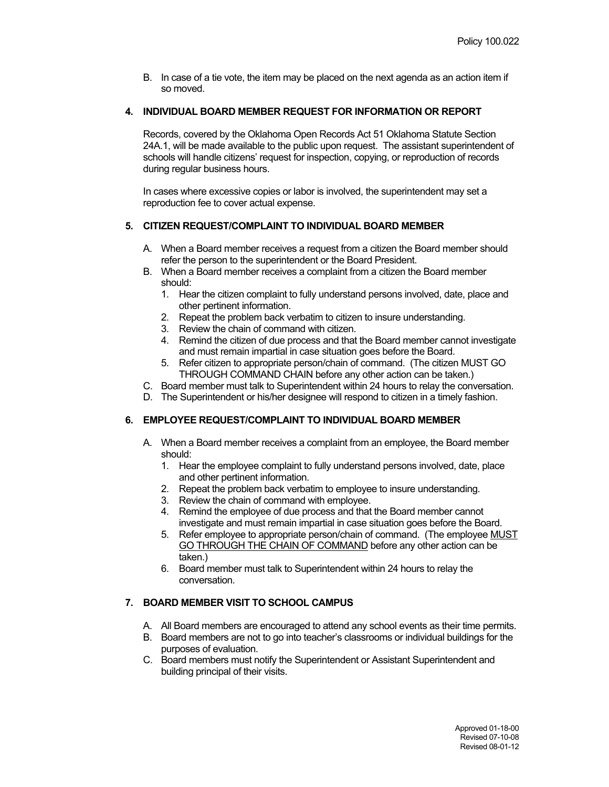B. In case of a tie vote, the item may be placed on the next agenda as an action item if so moved.

#### **4. INDIVIDUAL BOARD MEMBER REQUEST FOR INFORMATION OR REPORT**

Records, covered by the Oklahoma Open Records Act 51 Oklahoma Statute Section 24A.1, will be made available to the public upon request. The assistant superintendent of schools will handle citizens' request for inspection, copying, or reproduction of records during regular business hours.

In cases where excessive copies or labor is involved, the superintendent may set a reproduction fee to cover actual expense.

#### **5. CITIZEN REQUEST/COMPLAINT TO INDIVIDUAL BOARD MEMBER**

- A. When a Board member receives a request from a citizen the Board member should refer the person to the superintendent or the Board President.
- B. When a Board member receives a complaint from a citizen the Board member should:
	- 1. Hear the citizen complaint to fully understand persons involved, date, place and other pertinent information.
	- 2. Repeat the problem back verbatim to citizen to insure understanding.
	- 3. Review the chain of command with citizen.
	- 4. Remind the citizen of due process and that the Board member cannot investigate and must remain impartial in case situation goes before the Board.
	- 5. Refer citizen to appropriate person/chain of command. (The citizen MUST GO THROUGH COMMAND CHAIN before any other action can be taken.)
- C. Board member must talk to Superintendent within 24 hours to relay the conversation.
- D. The Superintendent or his/her designee will respond to citizen in a timely fashion.

#### **6. EMPLOYEE REQUEST/COMPLAINT TO INDIVIDUAL BOARD MEMBER**

- A. When a Board member receives a complaint from an employee, the Board member should:
	- 1. Hear the employee complaint to fully understand persons involved, date, place and other pertinent information.
	- 2. Repeat the problem back verbatim to employee to insure understanding.
	- 3. Review the chain of command with employee.
	- 4. Remind the employee of due process and that the Board member cannot investigate and must remain impartial in case situation goes before the Board.
	- 5. Refer employee to appropriate person/chain of command. (The employee MUST GO THROUGH THE CHAIN OF COMMAND before any other action can be taken.)
	- 6. Board member must talk to Superintendent within 24 hours to relay the conversation.

#### **7. BOARD MEMBER VISIT TO SCHOOL CAMPUS**

- A. All Board members are encouraged to attend any school events as their time permits.
- B. Board members are not to go into teacher's classrooms or individual buildings for the purposes of evaluation.
- C. Board members must notify the Superintendent or Assistant Superintendent and building principal of their visits.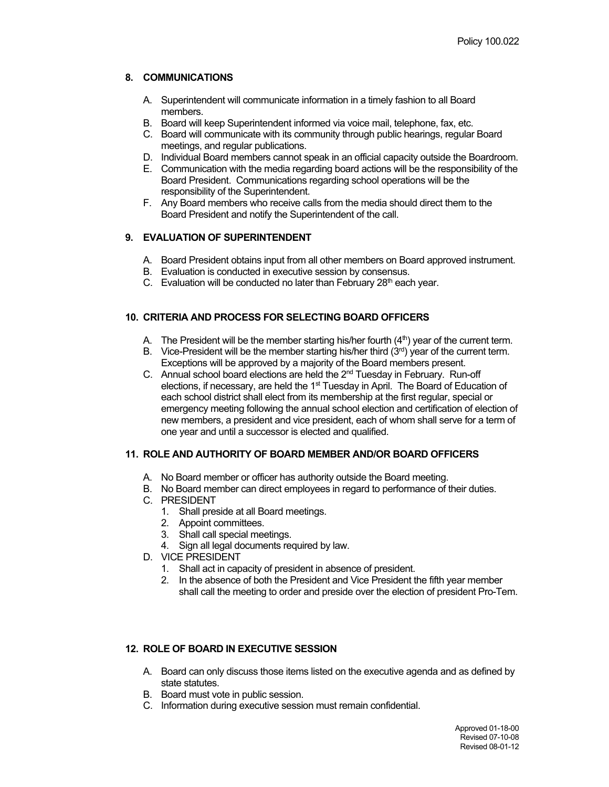#### **8. COMMUNICATIONS**

- A. Superintendent will communicate information in a timely fashion to all Board members.
- B. Board will keep Superintendent informed via voice mail, telephone, fax, etc.
- C. Board will communicate with its community through public hearings, regular Board meetings, and regular publications.
- D. Individual Board members cannot speak in an official capacity outside the Boardroom.
- E. Communication with the media regarding board actions will be the responsibility of the Board President. Communications regarding school operations will be the responsibility of the Superintendent.
- F. Any Board members who receive calls from the media should direct them to the Board President and notify the Superintendent of the call.

#### **9. EVALUATION OF SUPERINTENDENT**

- A. Board President obtains input from all other members on Board approved instrument.
- B. Evaluation is conducted in executive session by consensus.
- C. Evaluation will be conducted no later than February  $28<sup>th</sup>$  each year.

#### **10. CRITERIA AND PROCESS FOR SELECTING BOARD OFFICERS**

- A. The President will be the member starting his/her fourth  $(4<sup>th</sup>)$  year of the current term.
- B. Vice-President will be the member starting his/her third  $(3<sup>rd</sup>)$  year of the current term. Exceptions will be approved by a majority of the Board members present.
- C. Annual school board elections are held the 2nd Tuesday in February. Run-off elections, if necessary, are held the  $1<sup>st</sup>$  Tuesday in April. The Board of Education of each school district shall elect from its membership at the first regular, special or emergency meeting following the annual school election and certification of election of new members, a president and vice president, each of whom shall serve for a term of one year and until a successor is elected and qualified.

#### **11. ROLE AND AUTHORITY OF BOARD MEMBER AND/OR BOARD OFFICERS**

- A. No Board member or officer has authority outside the Board meeting.
- B. No Board member can direct employees in regard to performance of their duties.
- C. PRESIDENT
	- 1. Shall preside at all Board meetings.
	- 2. Appoint committees.
	- 3. Shall call special meetings.
	- 4. Sign all legal documents required by law.
- D. VICE PRESIDENT
	- 1. Shall act in capacity of president in absence of president.
	- 2. In the absence of both the President and Vice President the fifth year member shall call the meeting to order and preside over the election of president Pro-Tem.

#### **12. ROLE OF BOARD IN EXECUTIVE SESSION**

- A. Board can only discuss those items listed on the executive agenda and as defined by state statutes.
- B. Board must vote in public session.
- C. Information during executive session must remain confidential.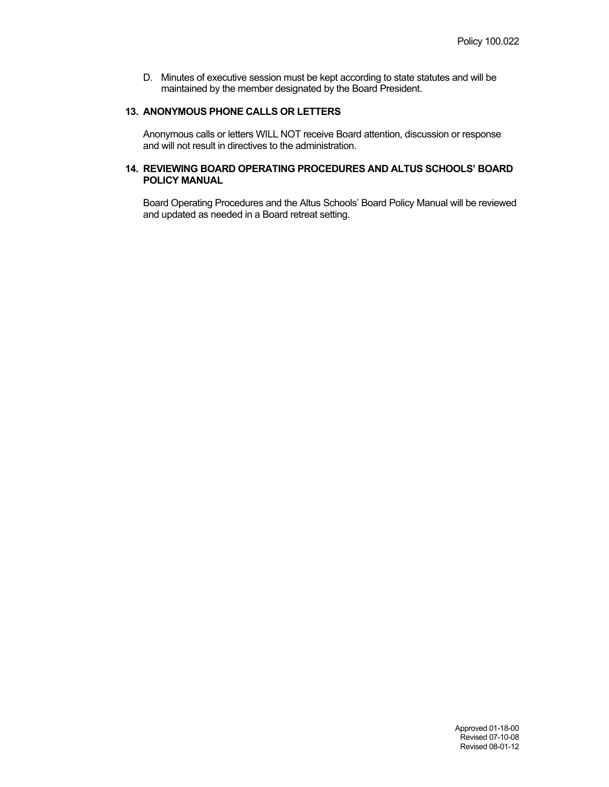D. Minutes of executive session must be kept according to state statutes and will be maintained by the member designated by the Board President.

#### **13. ANONYMOUS PHONE CALLS OR LETTERS**

Anonymous calls or letters WILL NOT receive Board attention, discussion or response and will not result in directives to the administration.

#### **14. REVIEWING BOARD OPERATING PROCEDURES AND ALTUS SCHOOLS' BOARD POLICY MANUAL**

Board Operating Procedures and the Altus Schools' Board Policy Manual will be reviewed and updated as needed in a Board retreat setting.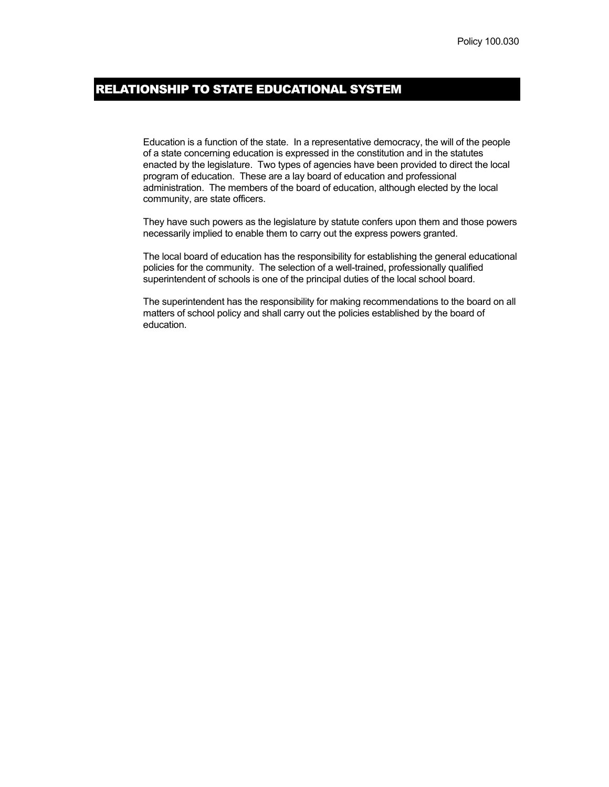### RELATIONSHIP TO STATE EDUCATIONAL SYSTEM

Education is a function of the state. In a representative democracy, the will of the people of a state concerning education is expressed in the constitution and in the statutes enacted by the legislature. Two types of agencies have been provided to direct the local program of education. These are a lay board of education and professional administration. The members of the board of education, although elected by the local community, are state officers.

They have such powers as the legislature by statute confers upon them and those powers necessarily implied to enable them to carry out the express powers granted.

The local board of education has the responsibility for establishing the general educational policies for the community. The selection of a well-trained, professionally qualified superintendent of schools is one of the principal duties of the local school board.

The superintendent has the responsibility for making recommendations to the board on all matters of school policy and shall carry out the policies established by the board of education.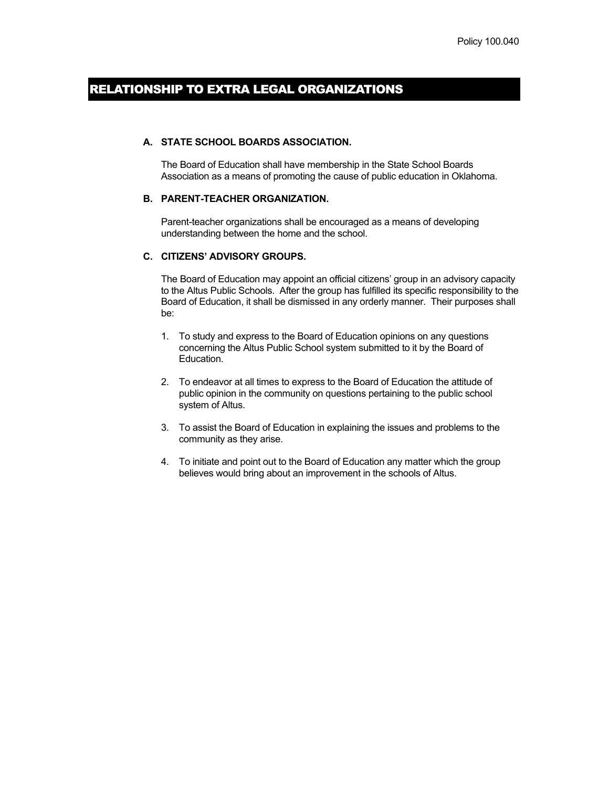### RELATIONSHIP TO EXTRA LEGAL ORGANIZATIONS

#### **A. STATE SCHOOL BOARDS ASSOCIATION.**

The Board of Education shall have membership in the State School Boards Association as a means of promoting the cause of public education in Oklahoma.

#### **B. PARENT-TEACHER ORGANIZATION.**

Parent-teacher organizations shall be encouraged as a means of developing understanding between the home and the school.

#### **C. CITIZENS' ADVISORY GROUPS.**

The Board of Education may appoint an official citizens' group in an advisory capacity to the Altus Public Schools. After the group has fulfilled its specific responsibility to the Board of Education, it shall be dismissed in any orderly manner. Their purposes shall be:

- 1. To study and express to the Board of Education opinions on any questions concerning the Altus Public School system submitted to it by the Board of Education.
- 2. To endeavor at all times to express to the Board of Education the attitude of public opinion in the community on questions pertaining to the public school system of Altus.
- 3. To assist the Board of Education in explaining the issues and problems to the community as they arise.
- 4. To initiate and point out to the Board of Education any matter which the group believes would bring about an improvement in the schools of Altus.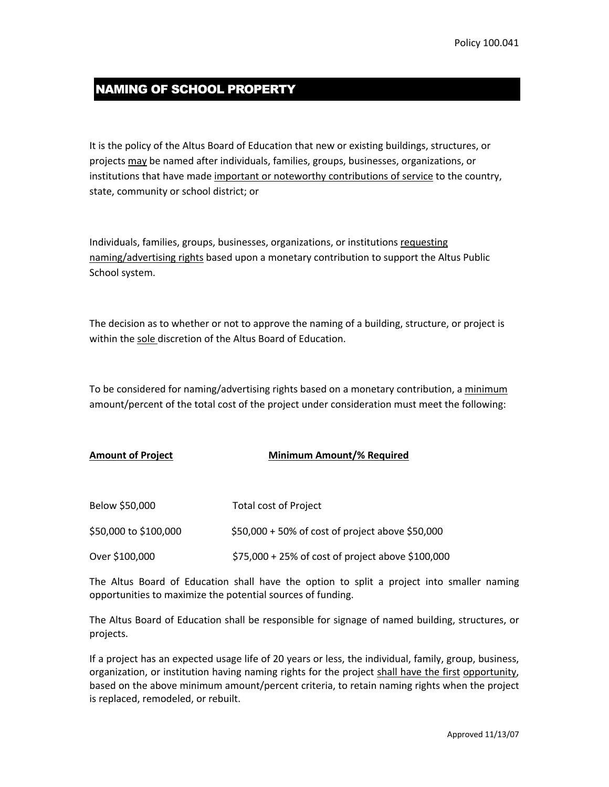### NAMING OF SCHOOL PROPERTY

It is the policy of the Altus Board of Education that new or existing buildings, structures, or projects may be named after individuals, families, groups, businesses, organizations, or institutions that have made important or noteworthy contributions of service to the country, state, community or school district; or

Individuals, families, groups, businesses, organizations, or institutions requesting naming/advertising rights based upon a monetary contribution to support the Altus Public School system.

The decision as to whether or not to approve the naming of a building, structure, or project is within the sole discretion of the Altus Board of Education.

To be considered for naming/advertising rights based on a monetary contribution, a minimum amount/percent of the total cost of the project under consideration must meet the following:

#### **Amount of Project Minimum Amount/% Required**

| Below \$50,000        | <b>Total cost of Project</b>                        |
|-----------------------|-----------------------------------------------------|
| \$50,000 to \$100,000 | \$50,000 + 50% of cost of project above \$50,000    |
| Over \$100,000        | $$75,000 + 25\%$ of cost of project above \$100,000 |

The Altus Board of Education shall have the option to split a project into smaller naming opportunities to maximize the potential sources of funding.

The Altus Board of Education shall be responsible for signage of named building, structures, or projects.

If a project has an expected usage life of 20 years or less, the individual, family, group, business, organization, or institution having naming rights for the project shall have the first opportunity, based on the above minimum amount/percent criteria, to retain naming rights when the project is replaced, remodeled, or rebuilt.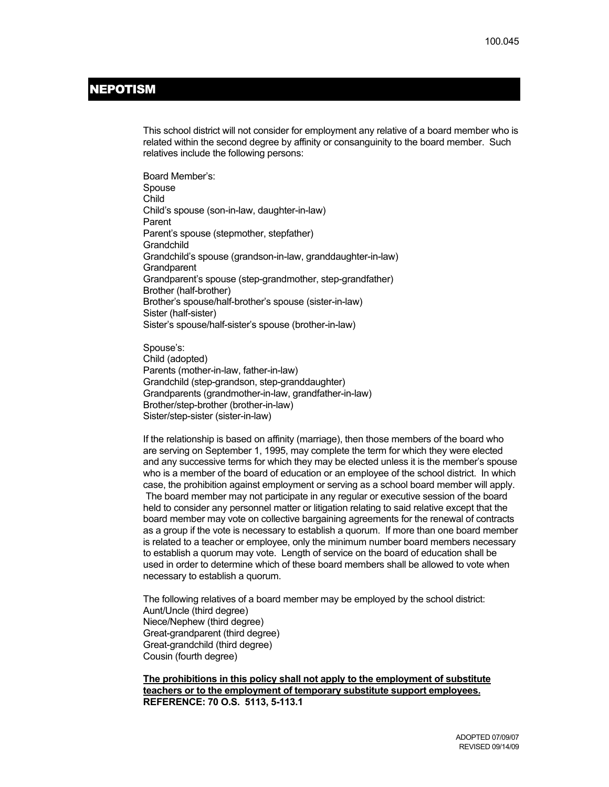### NEPOTISM

This school district will not consider for employment any relative of a board member who is related within the second degree by affinity or consanguinity to the board member. Such relatives include the following persons:

Board Member's: Spouse Child Child's spouse (son-in-law, daughter-in-law) Parent Parent's spouse (stepmother, stepfather) **Grandchild** Grandchild's spouse (grandson-in-law, granddaughter-in-law) **Grandparent** Grandparent's spouse (step-grandmother, step-grandfather) Brother (half-brother) Brother's spouse/half-brother's spouse (sister-in-law) Sister (half-sister) Sister's spouse/half-sister's spouse (brother-in-law)

Spouse's: Child (adopted) Parents (mother-in-law, father-in-law) Grandchild (step-grandson, step-granddaughter) Grandparents (grandmother-in-law, grandfather-in-law) Brother/step-brother (brother-in-law) Sister/step-sister (sister-in-law)

If the relationship is based on affinity (marriage), then those members of the board who are serving on September 1, 1995, may complete the term for which they were elected and any successive terms for which they may be elected unless it is the member's spouse who is a member of the board of education or an employee of the school district. In which case, the prohibition against employment or serving as a school board member will apply. The board member may not participate in any regular or executive session of the board held to consider any personnel matter or litigation relating to said relative except that the board member may vote on collective bargaining agreements for the renewal of contracts as a group if the vote is necessary to establish a quorum. If more than one board member is related to a teacher or employee, only the minimum number board members necessary to establish a quorum may vote. Length of service on the board of education shall be used in order to determine which of these board members shall be allowed to vote when necessary to establish a quorum.

The following relatives of a board member may be employed by the school district: Aunt/Uncle (third degree) Niece/Nephew (third degree) Great-grandparent (third degree) Great-grandchild (third degree) Cousin (fourth degree)

**The prohibitions in this policy shall not apply to the employment of substitute teachers or to the employment of temporary substitute support employees. REFERENCE: 70 O.S. 5113, 5-113.1**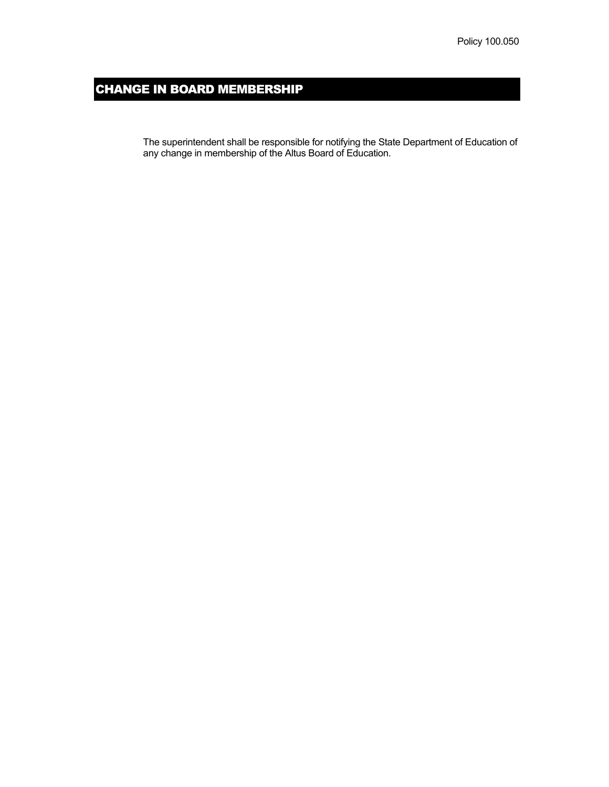## CHANGE IN BOARD MEMBERSHIP

The superintendent shall be responsible for notifying the State Department of Education of any change in membership of the Altus Board of Education.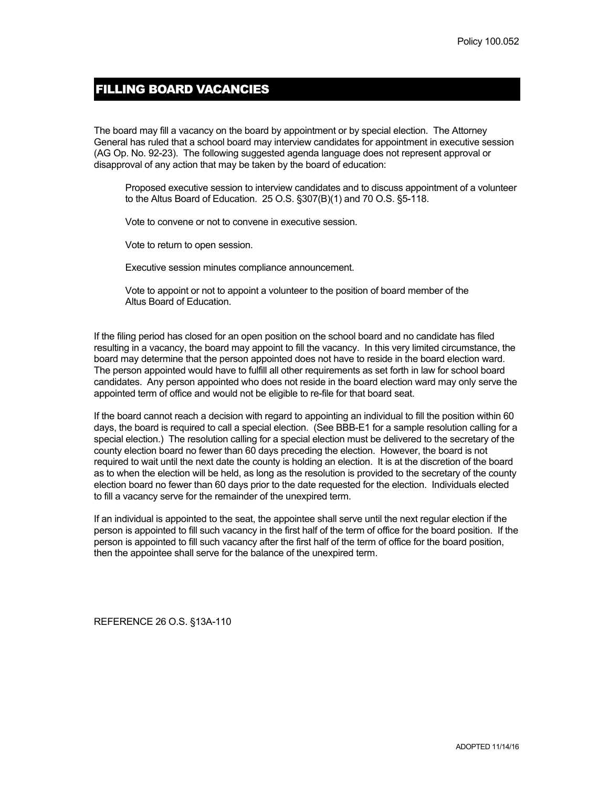### FILLING BOARD VACANCIES

The board may fill a vacancy on the board by appointment or by special election. The Attorney General has ruled that a school board may interview candidates for appointment in executive session (AG Op. No. 92-23). The following suggested agenda language does not represent approval or disapproval of any action that may be taken by the board of education:

Proposed executive session to interview candidates and to discuss appointment of a volunteer to the Altus Board of Education. 25 O.S. §307(B)(1) and 70 O.S. §5-118.

Vote to convene or not to convene in executive session.

Vote to return to open session.

Executive session minutes compliance announcement.

Vote to appoint or not to appoint a volunteer to the position of board member of the Altus Board of Education.

If the filing period has closed for an open position on the school board and no candidate has filed resulting in a vacancy, the board may appoint to fill the vacancy. In this very limited circumstance, the board may determine that the person appointed does not have to reside in the board election ward. The person appointed would have to fulfill all other requirements as set forth in law for school board candidates. Any person appointed who does not reside in the board election ward may only serve the appointed term of office and would not be eligible to re-file for that board seat.

If the board cannot reach a decision with regard to appointing an individual to fill the position within 60 days, the board is required to call a special election. (See BBB-E1 for a sample resolution calling for a special election.) The resolution calling for a special election must be delivered to the secretary of the county election board no fewer than 60 days preceding the election. However, the board is not required to wait until the next date the county is holding an election. It is at the discretion of the board as to when the election will be held, as long as the resolution is provided to the secretary of the county election board no fewer than 60 days prior to the date requested for the election. Individuals elected to fill a vacancy serve for the remainder of the unexpired term.

If an individual is appointed to the seat, the appointee shall serve until the next regular election if the person is appointed to fill such vacancy in the first half of the term of office for the board position. If the person is appointed to fill such vacancy after the first half of the term of office for the board position, then the appointee shall serve for the balance of the unexpired term.

REFERENCE 26 O.S. §13A-110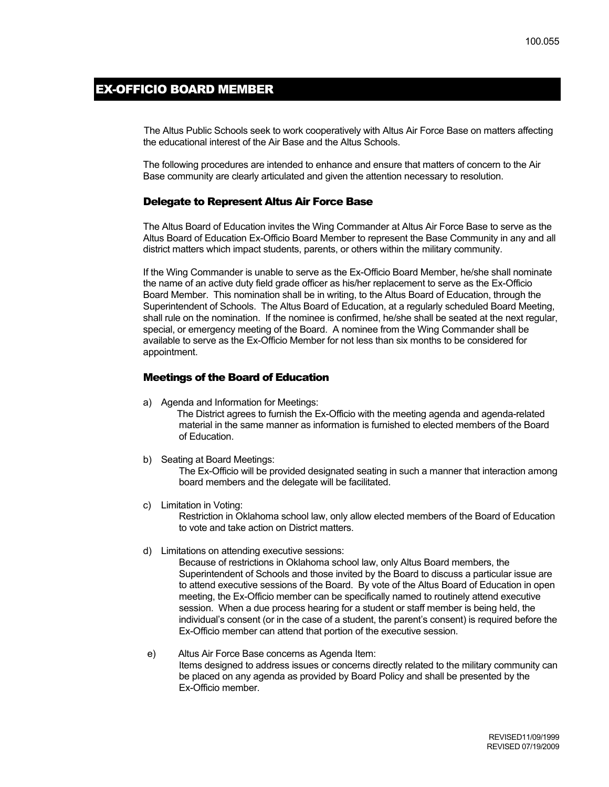### EX-OFFICIO BOARD MEMBER

 The Altus Public Schools seek to work cooperatively with Altus Air Force Base on matters affecting the educational interest of the Air Base and the Altus Schools.

The following procedures are intended to enhance and ensure that matters of concern to the Air Base community are clearly articulated and given the attention necessary to resolution.

#### Delegate to Represent Altus Air Force Base

The Altus Board of Education invites the Wing Commander at Altus Air Force Base to serve as the Altus Board of Education Ex-Officio Board Member to represent the Base Community in any and all district matters which impact students, parents, or others within the military community.

If the Wing Commander is unable to serve as the Ex-Officio Board Member, he/she shall nominate the name of an active duty field grade officer as his/her replacement to serve as the Ex-Officio Board Member. This nomination shall be in writing, to the Altus Board of Education, through the Superintendent of Schools. The Altus Board of Education, at a regularly scheduled Board Meeting, shall rule on the nomination. If the nominee is confirmed, he/she shall be seated at the next regular, special, or emergency meeting of the Board. A nominee from the Wing Commander shall be available to serve as the Ex-Officio Member for not less than six months to be considered for appointment.

#### Meetings of the Board of Education

a) Agenda and Information for Meetings:

The District agrees to furnish the Ex-Officio with the meeting agenda and agenda-related material in the same manner as information is furnished to elected members of the Board of Education.

- b) Seating at Board Meetings: The Ex-Officio will be provided designated seating in such a manner that interaction among board members and the delegate will be facilitated.
- c) Limitation in Voting: Restriction in Oklahoma school law, only allow elected members of the Board of Education to vote and take action on District matters.
- d) Limitations on attending executive sessions:

Because of restrictions in Oklahoma school law, only Altus Board members, the Superintendent of Schools and those invited by the Board to discuss a particular issue are to attend executive sessions of the Board. By vote of the Altus Board of Education in open meeting, the Ex-Officio member can be specifically named to routinely attend executive session. When a due process hearing for a student or staff member is being held, the individual's consent (or in the case of a student, the parent's consent) is required before the Ex-Officio member can attend that portion of the executive session.

 e) Altus Air Force Base concerns as Agenda Item: Items designed to address issues or concerns directly related to the military community can be placed on any agenda as provided by Board Policy and shall be presented by the Ex-Officio member.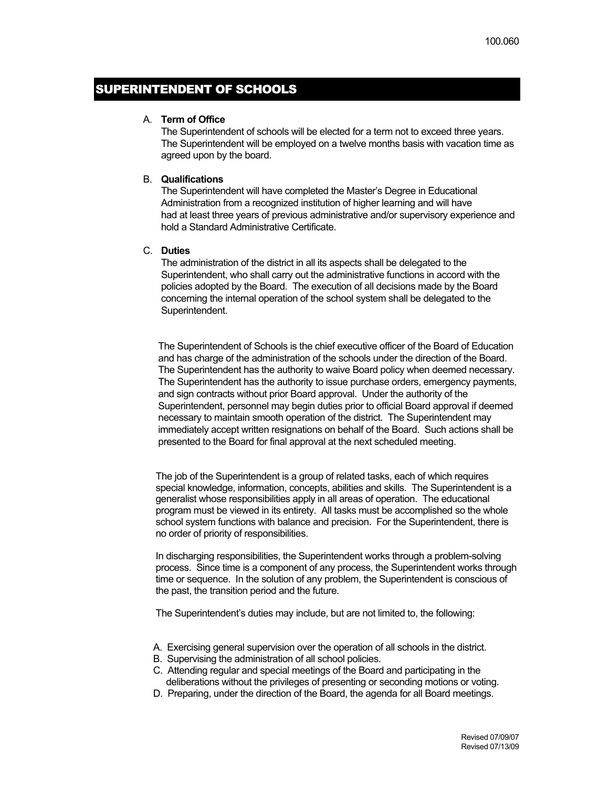### SUPERINTENDENT OF SCHOOLS

#### A. **Term of Office**

The Superintendent of schools will be elected for a term not to exceed three years. The Superintendent will be employed on a twelve months basis with vacation time as agreed upon by the board.

#### B. **Qualifications**

The Superintendent will have completed the Master's Degree in Educational Administration from a recognized institution of higher learning and will have had at least three years of previous administrative and/or supervisory experience and hold a Standard Administrative Certificate.

#### C. **Duties**

The administration of the district in all its aspects shall be delegated to the Superintendent, who shall carry out the administrative functions in accord with the policies adopted by the Board. The execution of all decisions made by the Board concerning the internal operation of the school system shall be delegated to the Superintendent.

 The Superintendent of Schools is the chief executive officer of the Board of Education and has charge of the administration of the schools under the direction of the Board. The Superintendent has the authority to waive Board policy when deemed necessary. The Superintendent has the authority to issue purchase orders, emergency payments, and sign contracts without prior Board approval. Under the authority of the Superintendent, personnel may begin duties prior to official Board approval if deemed necessary to maintain smooth operation of the district. The Superintendent may immediately accept written resignations on behalf of the Board. Such actions shall be presented to the Board for final approval at the next scheduled meeting.

 The job of the Superintendent is a group of related tasks, each of which requires special knowledge, information, concepts, abilities and skills. The Superintendent is a generalist whose responsibilities apply in all areas of operation. The educational program must be viewed in its entirety. All tasks must be accomplished so the whole school system functions with balance and precision. For the Superintendent, there is no order of priority of responsibilities.

 In discharging responsibilities, the Superintendent works through a problem-solving process. Since time is a component of any process, the Superintendent works through time or sequence. In the solution of any problem, the Superintendent is conscious of the past, the transition period and the future.

The Superintendent's duties may include, but are not limited to, the following:

- A. Exercising general supervision over the operation of all schools in the district.
- B. Supervising the administration of all school policies.
- C. Attending regular and special meetings of the Board and participating in the deliberations without the privileges of presenting or seconding motions or voting.
- D. Preparing, under the direction of the Board, the agenda for all Board meetings.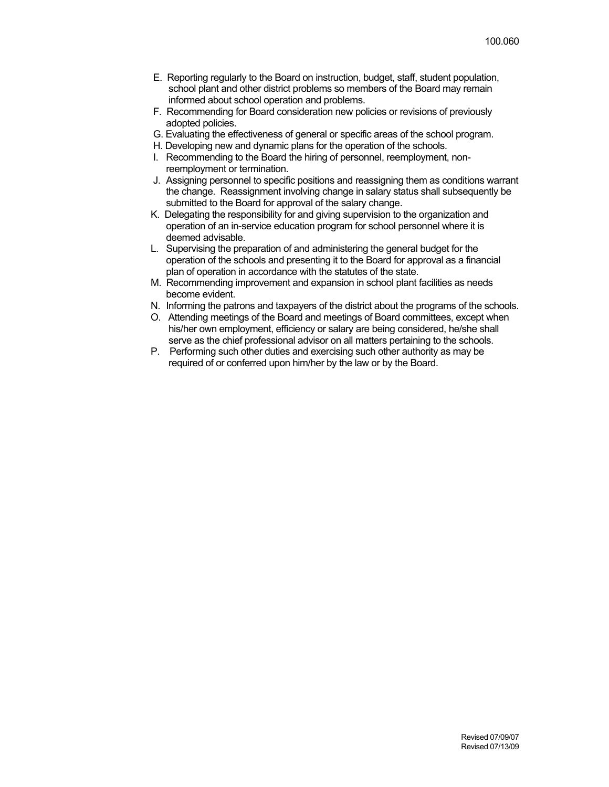- E. Reporting regularly to the Board on instruction, budget, staff, student population, school plant and other district problems so members of the Board may remain informed about school operation and problems.
- F. Recommending for Board consideration new policies or revisions of previously adopted policies.
- G. Evaluating the effectiveness of general or specific areas of the school program.
- H. Developing new and dynamic plans for the operation of the schools.
- I. Recommending to the Board the hiring of personnel, reemployment, non reemployment or termination.
- J. Assigning personnel to specific positions and reassigning them as conditions warrant the change. Reassignment involving change in salary status shall subsequently be submitted to the Board for approval of the salary change.
- K. Delegating the responsibility for and giving supervision to the organization and operation of an in-service education program for school personnel where it is deemed advisable.
- L. Supervising the preparation of and administering the general budget for the operation of the schools and presenting it to the Board for approval as a financial plan of operation in accordance with the statutes of the state.
- M. Recommending improvement and expansion in school plant facilities as needs become evident.
- N. Informing the patrons and taxpayers of the district about the programs of the schools.
- O. Attending meetings of the Board and meetings of Board committees, except when his/her own employment, efficiency or salary are being considered, he/she shall serve as the chief professional advisor on all matters pertaining to the schools.
- P. Performing such other duties and exercising such other authority as may be required of or conferred upon him/her by the law or by the Board.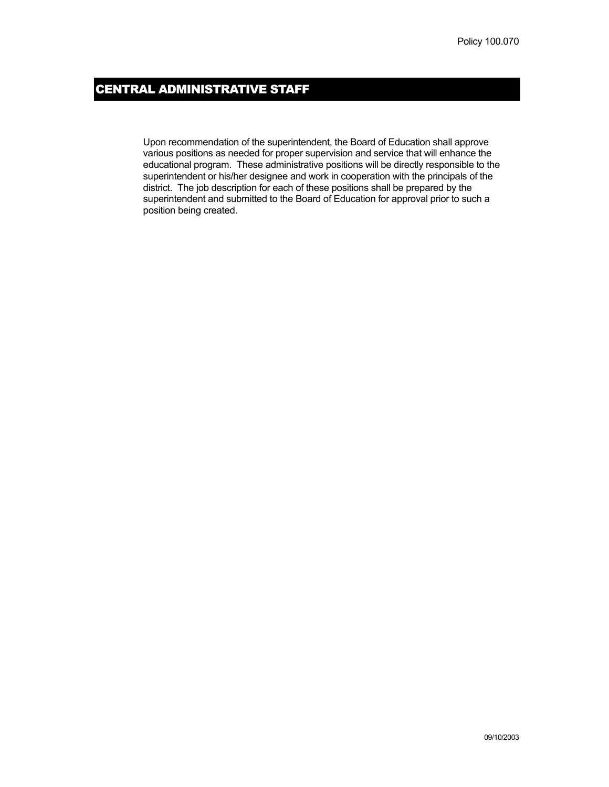### CENTRAL ADMINISTRATIVE STAFF

Upon recommendation of the superintendent, the Board of Education shall approve various positions as needed for proper supervision and service that will enhance the educational program. These administrative positions will be directly responsible to the superintendent or his/her designee and work in cooperation with the principals of the district. The job description for each of these positions shall be prepared by the superintendent and submitted to the Board of Education for approval prior to such a position being created.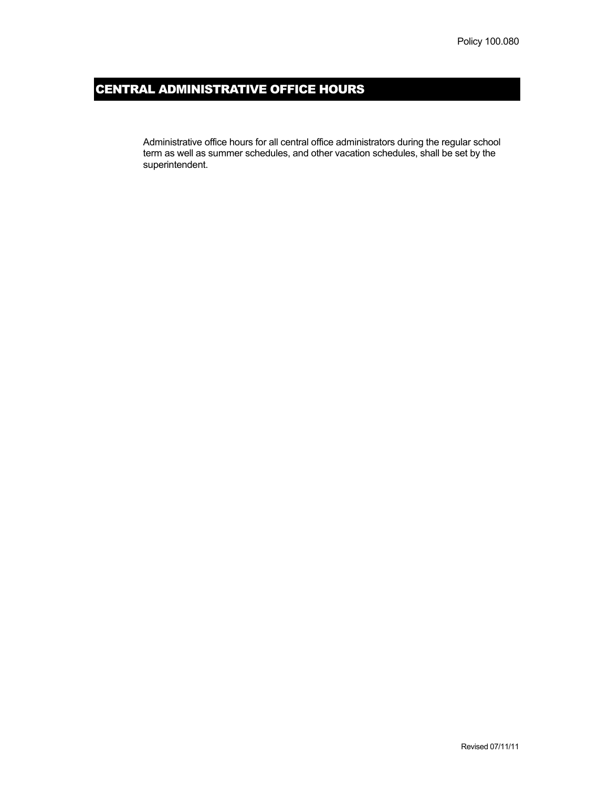## CENTRAL ADMINISTRATIVE OFFICE HOURS

Administrative office hours for all central office administrators during the regular school term as well as summer schedules, and other vacation schedules, shall be set by the superintendent.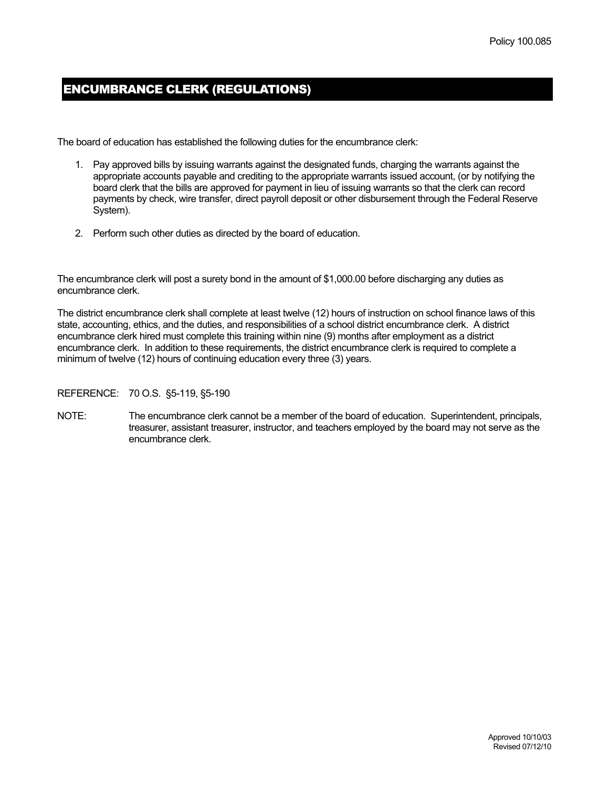### ENCUMBRANCE CLERK (REGULATIONS)

The board of education has established the following duties for the encumbrance clerk:

- 1. Pay approved bills by issuing warrants against the designated funds, charging the warrants against the appropriate accounts payable and crediting to the appropriate warrants issued account, (or by notifying the board clerk that the bills are approved for payment in lieu of issuing warrants so that the clerk can record payments by check, wire transfer, direct payroll deposit or other disbursement through the Federal Reserve System).
- 2. Perform such other duties as directed by the board of education.

The encumbrance clerk will post a surety bond in the amount of \$1,000.00 before discharging any duties as encumbrance clerk.

The district encumbrance clerk shall complete at least twelve (12) hours of instruction on school finance laws of this state, accounting, ethics, and the duties, and responsibilities of a school district encumbrance clerk. A district encumbrance clerk hired must complete this training within nine (9) months after employment as a district encumbrance clerk. In addition to these requirements, the district encumbrance clerk is required to complete a minimum of twelve (12) hours of continuing education every three (3) years.

REFERENCE: 70 O.S. §5-119, §5-190

NOTE: The encumbrance clerk cannot be a member of the board of education. Superintendent, principals, treasurer, assistant treasurer, instructor, and teachers employed by the board may not serve as the encumbrance clerk.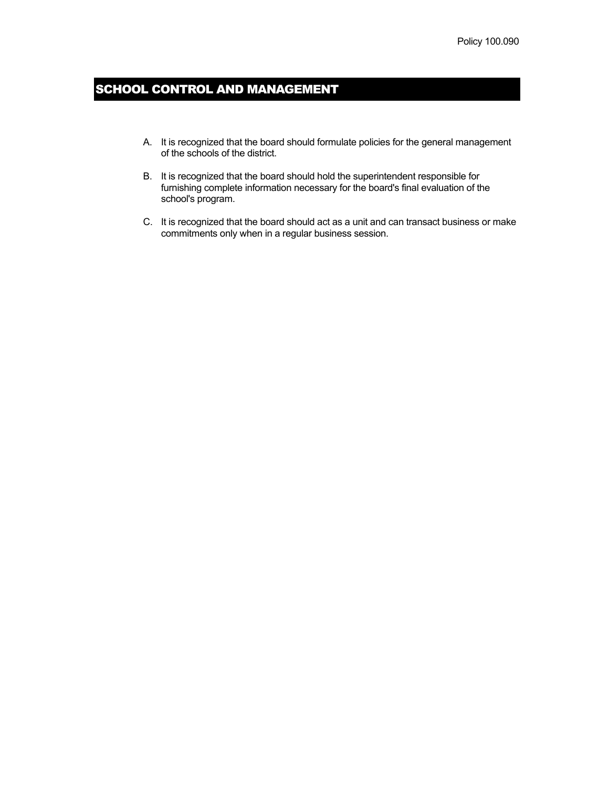## SCHOOL CONTROL AND MANAGEMENT

- A. It is recognized that the board should formulate policies for the general management of the schools of the district.
- B. It is recognized that the board should hold the superintendent responsible for furnishing complete information necessary for the board's final evaluation of the school's program.
- C. It is recognized that the board should act as a unit and can transact business or make commitments only when in a regular business session.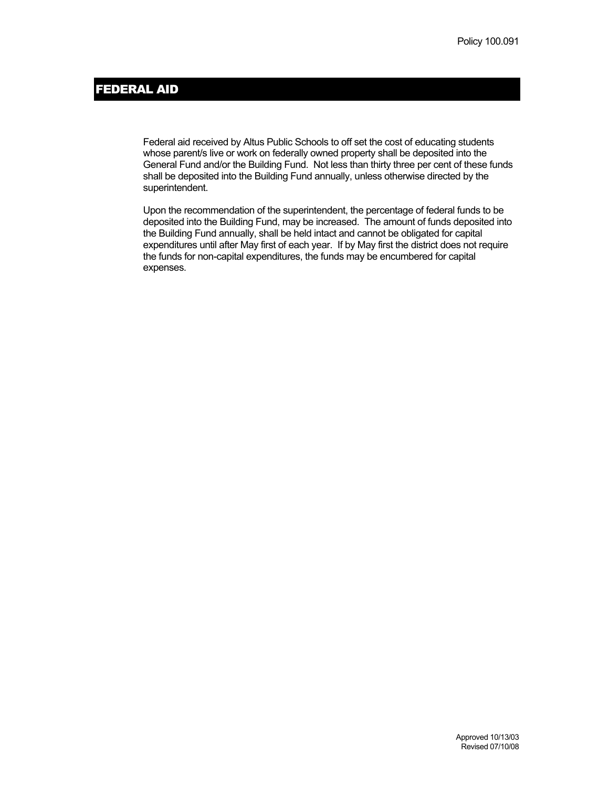### FEDERAL AID

Federal aid received by Altus Public Schools to off set the cost of educating students whose parent/s live or work on federally owned property shall be deposited into the General Fund and/or the Building Fund. Not less than thirty three per cent of these funds shall be deposited into the Building Fund annually, unless otherwise directed by the superintendent.

Upon the recommendation of the superintendent, the percentage of federal funds to be deposited into the Building Fund, may be increased. The amount of funds deposited into the Building Fund annually, shall be held intact and cannot be obligated for capital expenditures until after May first of each year. If by May first the district does not require the funds for non-capital expenditures, the funds may be encumbered for capital expenses.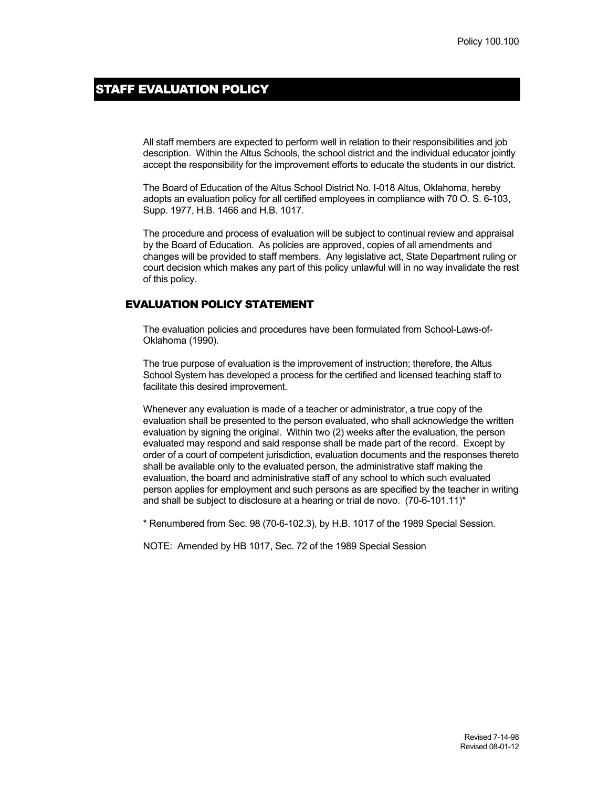### STAFF EVALUATION POLICY

All staff members are expected to perform well in relation to their responsibilities and job description. Within the Altus Schools, the school district and the individual educator jointly accept the responsibility for the improvement efforts to educate the students in our district.

The Board of Education of the Altus School District No. I-018 Altus, Oklahoma, hereby adopts an evaluation policy for all certified employees in compliance with 70 O. S. 6-103, Supp. 1977, H.B. 1466 and H.B. 1017.

The procedure and process of evaluation will be subject to continual review and appraisal by the Board of Education. As policies are approved, copies of all amendments and changes will be provided to staff members. Any legislative act, State Department ruling or court decision which makes any part of this policy unlawful will in no way invalidate the rest of this policy.

#### EVALUATION POLICY STATEMENT

The evaluation policies and procedures have been formulated from School-Laws-of-Oklahoma (1990).

The true purpose of evaluation is the improvement of instruction; therefore, the Altus School System has developed a process for the certified and licensed teaching staff to facilitate this desired improvement.

Whenever any evaluation is made of a teacher or administrator, a true copy of the evaluation shall be presented to the person evaluated, who shall acknowledge the written evaluation by signing the original. Within two (2) weeks after the evaluation, the person evaluated may respond and said response shall be made part of the record. Except by order of a court of competent jurisdiction, evaluation documents and the responses thereto shall be available only to the evaluated person, the administrative staff making the evaluation, the board and administrative staff of any school to which such evaluated person applies for employment and such persons as are specified by the teacher in writing and shall be subject to disclosure at a hearing or trial de novo. (70-6-101.11)\*

\* Renumbered from Sec. 98 (70-6-102.3), by H.B. 1017 of the 1989 Special Session.

NOTE: Amended by HB 1017, Sec. 72 of the 1989 Special Session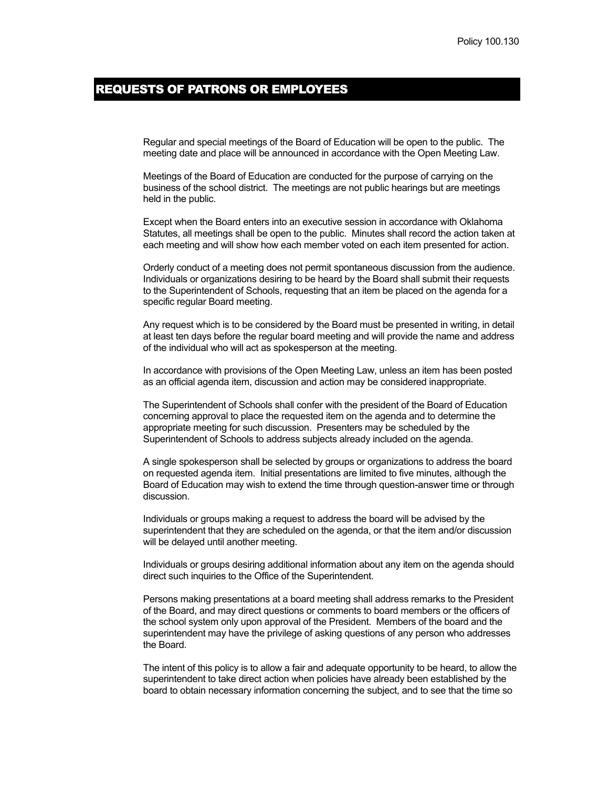### REQUESTS OF PATRONS OR EMPLOYEES

Regular and special meetings of the Board of Education will be open to the public. The meeting date and place will be announced in accordance with the Open Meeting Law.

Meetings of the Board of Education are conducted for the purpose of carrying on the business of the school district. The meetings are not public hearings but are meetings held in the public.

Except when the Board enters into an executive session in accordance with Oklahoma Statutes, all meetings shall be open to the public. Minutes shall record the action taken at each meeting and will show how each member voted on each item presented for action.

Orderly conduct of a meeting does not permit spontaneous discussion from the audience. Individuals or organizations desiring to be heard by the Board shall submit their requests to the Superintendent of Schools, requesting that an item be placed on the agenda for a specific regular Board meeting.

Any request which is to be considered by the Board must be presented in writing, in detail at least ten days before the regular board meeting and will provide the name and address of the individual who will act as spokesperson at the meeting.

In accordance with provisions of the Open Meeting Law, unless an item has been posted as an official agenda item, discussion and action may be considered inappropriate.

The Superintendent of Schools shall confer with the president of the Board of Education concerning approval to place the requested item on the agenda and to determine the appropriate meeting for such discussion. Presenters may be scheduled by the Superintendent of Schools to address subjects already included on the agenda.

A single spokesperson shall be selected by groups or organizations to address the board on requested agenda item. Initial presentations are limited to five minutes, although the Board of Education may wish to extend the time through question-answer time or through discussion.

Individuals or groups making a request to address the board will be advised by the superintendent that they are scheduled on the agenda, or that the item and/or discussion will be delayed until another meeting.

Individuals or groups desiring additional information about any item on the agenda should direct such inquiries to the Office of the Superintendent.

Persons making presentations at a board meeting shall address remarks to the President of the Board, and may direct questions or comments to board members or the officers of the school system only upon approval of the President. Members of the board and the superintendent may have the privilege of asking questions of any person who addresses the Board.

The intent of this policy is to allow a fair and adequate opportunity to be heard, to allow the superintendent to take direct action when policies have already been established by the board to obtain necessary information concerning the subject, and to see that the time so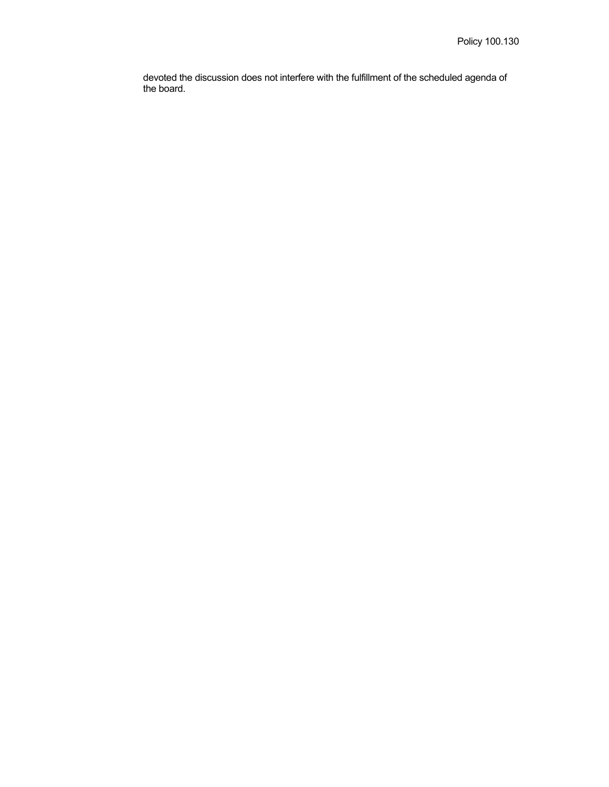devoted the discussion does not interfere with the fulfillment of the scheduled agenda of the board.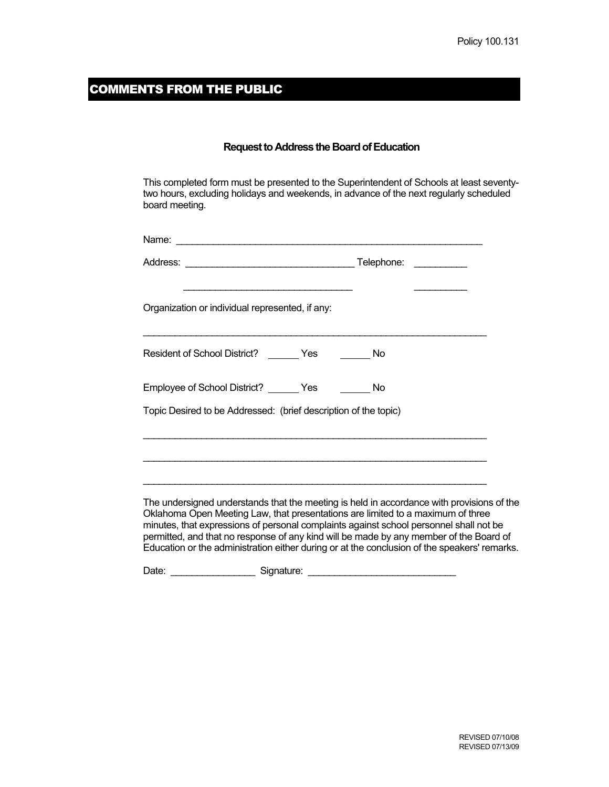## COMMENTS FROM THE PUBLIC

#### **Request to Address the Board of Education**

This completed form must be presented to the Superintendent of Schools at least seventytwo hours, excluding holidays and weekends, in advance of the next regularly scheduled board meeting.

| Name:                                                           |                                                                                                                                                                                                                                                                                                                                                                                                                                                                  |
|-----------------------------------------------------------------|------------------------------------------------------------------------------------------------------------------------------------------------------------------------------------------------------------------------------------------------------------------------------------------------------------------------------------------------------------------------------------------------------------------------------------------------------------------|
|                                                                 |                                                                                                                                                                                                                                                                                                                                                                                                                                                                  |
| Organization or individual represented, if any:                 |                                                                                                                                                                                                                                                                                                                                                                                                                                                                  |
|                                                                 |                                                                                                                                                                                                                                                                                                                                                                                                                                                                  |
| Employee of School District? _______ Yes ________ No            |                                                                                                                                                                                                                                                                                                                                                                                                                                                                  |
| Topic Desired to be Addressed: (brief description of the topic) |                                                                                                                                                                                                                                                                                                                                                                                                                                                                  |
|                                                                 | <u> 1989 - Johann Harry Harry Harry Harry Harry Harry Harry Harry Harry Harry Harry Harry Harry Harry Harry Harry</u>                                                                                                                                                                                                                                                                                                                                            |
|                                                                 |                                                                                                                                                                                                                                                                                                                                                                                                                                                                  |
|                                                                 | The undersigned understands that the meeting is held in accordance with provisions of the<br>Oklahoma Open Meeting Law, that presentations are limited to a maximum of three<br>minutes, that expressions of personal complaints against school personnel shall not be<br>permitted, and that no response of any kind will be made by any member of the Board of<br>Education or the administration either during or at the conclusion of the speakers' remarks. |
|                                                                 |                                                                                                                                                                                                                                                                                                                                                                                                                                                                  |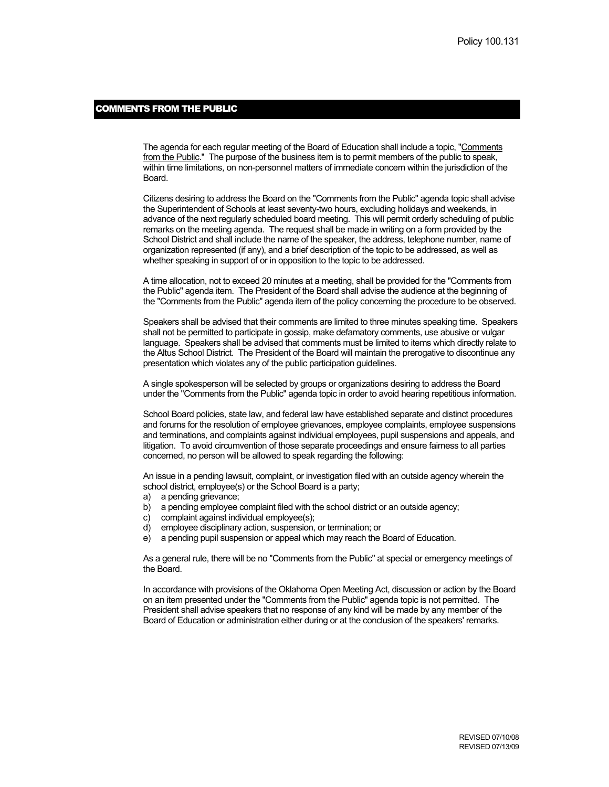#### COMMENTS FROM THE PUBLIC

The agenda for each regular meeting of the Board of Education shall include a topic, "Comments from the Public." The purpose of the business item is to permit members of the public to speak, within time limitations, on non-personnel matters of immediate concern within the jurisdiction of the Board.

Citizens desiring to address the Board on the "Comments from the Public" agenda topic shall advise the Superintendent of Schools at least seventy-two hours, excluding holidays and weekends, in advance of the next regularly scheduled board meeting. This will permit orderly scheduling of public remarks on the meeting agenda. The request shall be made in writing on a form provided by the School District and shall include the name of the speaker, the address, telephone number, name of organization represented (if any), and a brief description of the topic to be addressed, as well as whether speaking in support of or in opposition to the topic to be addressed.

A time allocation, not to exceed 20 minutes at a meeting, shall be provided for the "Comments from the Public" agenda item. The President of the Board shall advise the audience at the beginning of the "Comments from the Public" agenda item of the policy concerning the procedure to be observed.

Speakers shall be advised that their comments are limited to three minutes speaking time. Speakers shall not be permitted to participate in gossip, make defamatory comments, use abusive or vulgar language. Speakers shall be advised that comments must be limited to items which directly relate to the Altus School District. The President of the Board will maintain the prerogative to discontinue any presentation which violates any of the public participation guidelines.

A single spokesperson will be selected by groups or organizations desiring to address the Board under the "Comments from the Public" agenda topic in order to avoid hearing repetitious information.

School Board policies, state law, and federal law have established separate and distinct procedures and forums for the resolution of employee grievances, employee complaints, employee suspensions and terminations, and complaints against individual employees, pupil suspensions and appeals, and litigation. To avoid circumvention of those separate proceedings and ensure fairness to all parties concerned, no person will be allowed to speak regarding the following:

An issue in a pending lawsuit, complaint, or investigation filed with an outside agency wherein the school district, employee(s) or the School Board is a party;

- a) a pending grievance;
- b) a pending employee complaint filed with the school district or an outside agency;
- c) complaint against individual employee(s);
- d) employee disciplinary action, suspension, or termination; or
- e) a pending pupil suspension or appeal which may reach the Board of Education.

As a general rule, there will be no "Comments from the Public" at special or emergency meetings of the Board.

In accordance with provisions of the Oklahoma Open Meeting Act, discussion or action by the Board on an item presented under the "Comments from the Public" agenda topic is not permitted. The President shall advise speakers that no response of any kind will be made by any member of the Board of Education or administration either during or at the conclusion of the speakers' remarks.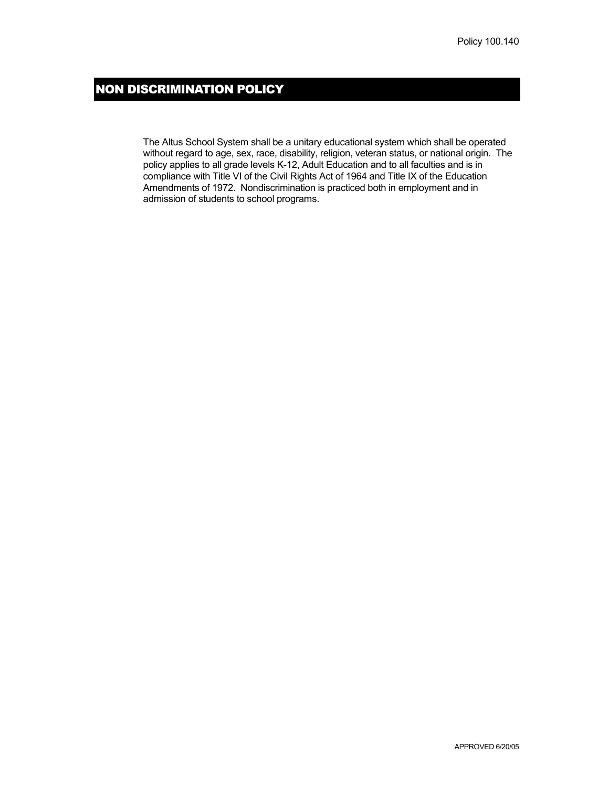## NON DISCRIMINATION POLICY

The Altus School System shall be a unitary educational system which shall be operated without regard to age, sex, race, disability, religion, veteran status, or national origin. The policy applies to all grade levels K-12, Adult Education and to all faculties and is in compliance with Title VI of the Civil Rights Act of 1964 and Title IX of the Education Amendments of 1972. Nondiscrimination is practiced both in employment and in admission of students to school programs.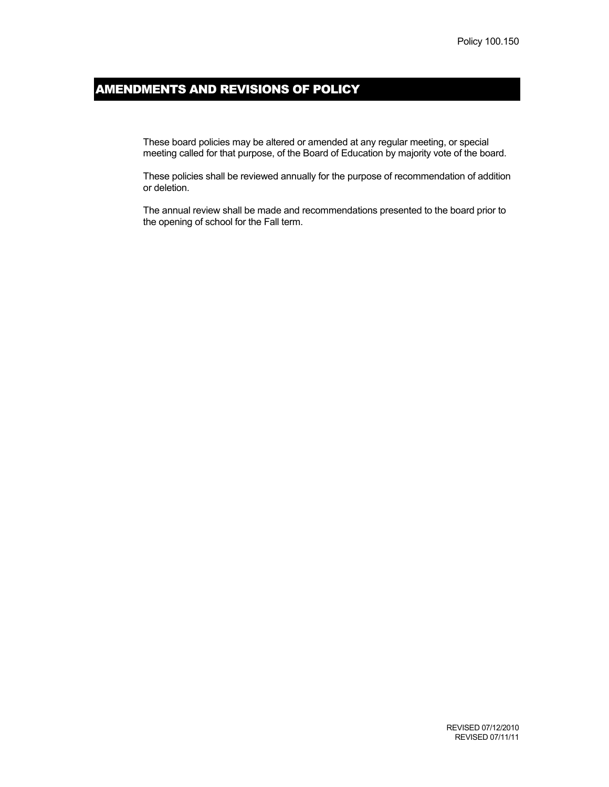## AMENDMENTS AND REVISIONS OF POLICY

These board policies may be altered or amended at any regular meeting, or special meeting called for that purpose, of the Board of Education by majority vote of the board.

These policies shall be reviewed annually for the purpose of recommendation of addition or deletion.

The annual review shall be made and recommendations presented to the board prior to the opening of school for the Fall term.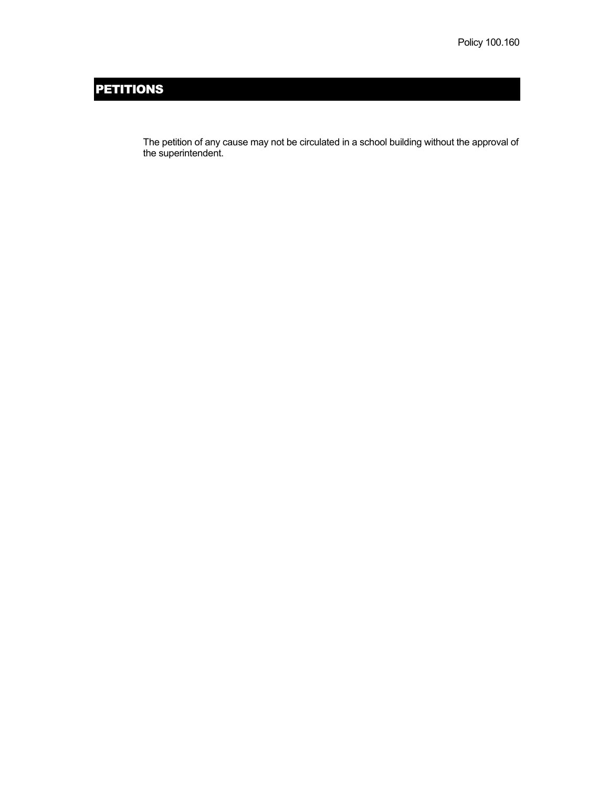## PETITIONS

The petition of any cause may not be circulated in a school building without the approval of the superintendent.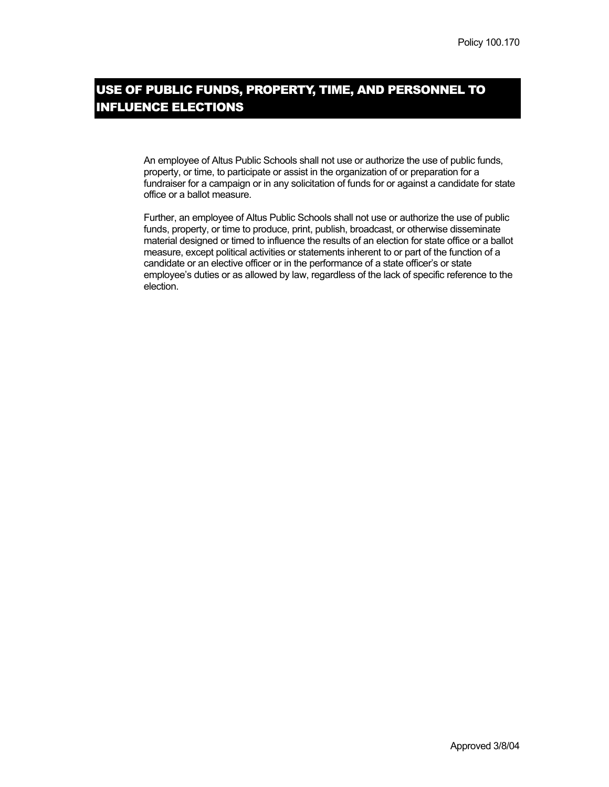## USE OF PUBLIC FUNDS, PROPERTY, TIME, AND PERSONNEL TO INFLUENCE ELECTIONS

An employee of Altus Public Schools shall not use or authorize the use of public funds, property, or time, to participate or assist in the organization of or preparation for a fundraiser for a campaign or in any solicitation of funds for or against a candidate for state office or a ballot measure.

Further, an employee of Altus Public Schools shall not use or authorize the use of public funds, property, or time to produce, print, publish, broadcast, or otherwise disseminate material designed or timed to influence the results of an election for state office or a ballot measure, except political activities or statements inherent to or part of the function of a candidate or an elective officer or in the performance of a state officer's or state employee's duties or as allowed by law, regardless of the lack of specific reference to the election.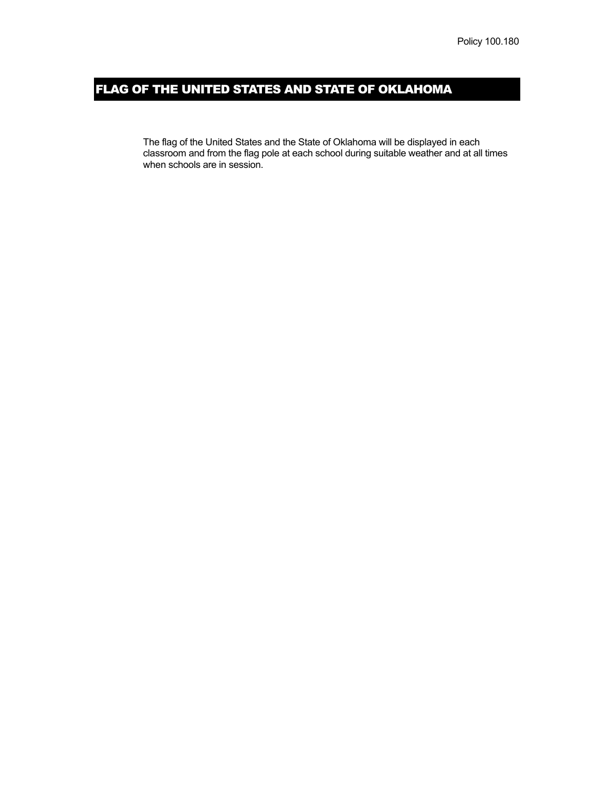## FLAG OF THE UNITED STATES AND STATE OF OKLAHOMA

The flag of the United States and the State of Oklahoma will be displayed in each classroom and from the flag pole at each school during suitable weather and at all times when schools are in session.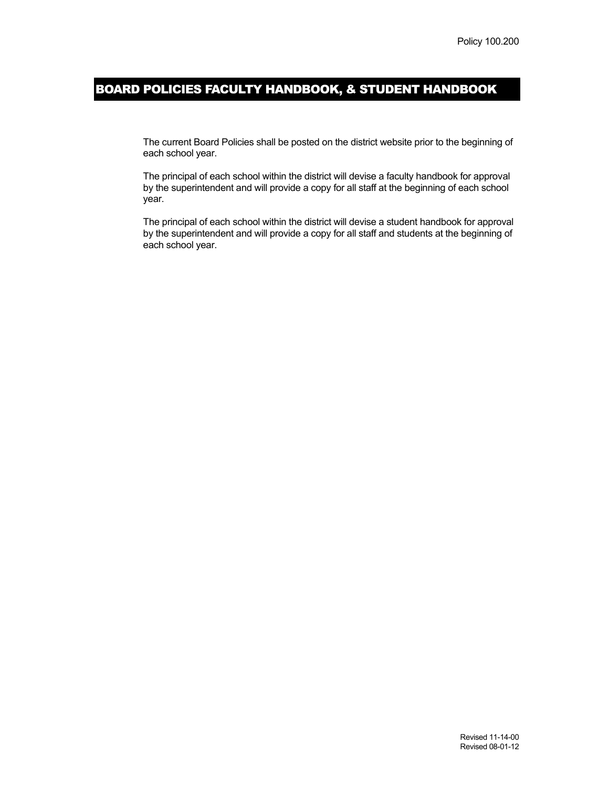### BOARD POLICIES FACULTY HANDBOOK, & STUDENT HANDBOOK

The current Board Policies shall be posted on the district website prior to the beginning of each school year.

The principal of each school within the district will devise a faculty handbook for approval by the superintendent and will provide a copy for all staff at the beginning of each school year.

The principal of each school within the district will devise a student handbook for approval by the superintendent and will provide a copy for all staff and students at the beginning of each school year.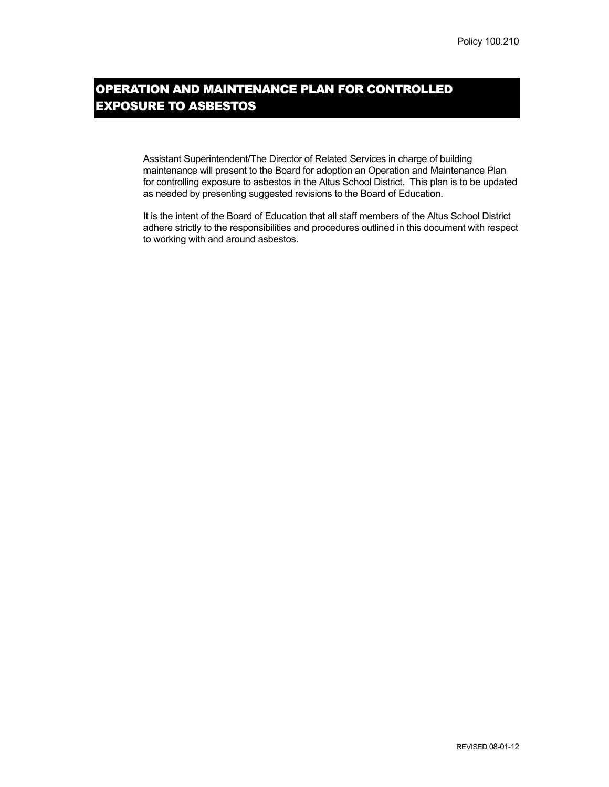### OPERATION AND MAINTENANCE PLAN FOR CONTROLLED EXPOSURE TO ASBESTOS

Assistant Superintendent/The Director of Related Services in charge of building maintenance will present to the Board for adoption an Operation and Maintenance Plan for controlling exposure to asbestos in the Altus School District. This plan is to be updated as needed by presenting suggested revisions to the Board of Education.

It is the intent of the Board of Education that all staff members of the Altus School District adhere strictly to the responsibilities and procedures outlined in this document with respect to working with and around asbestos.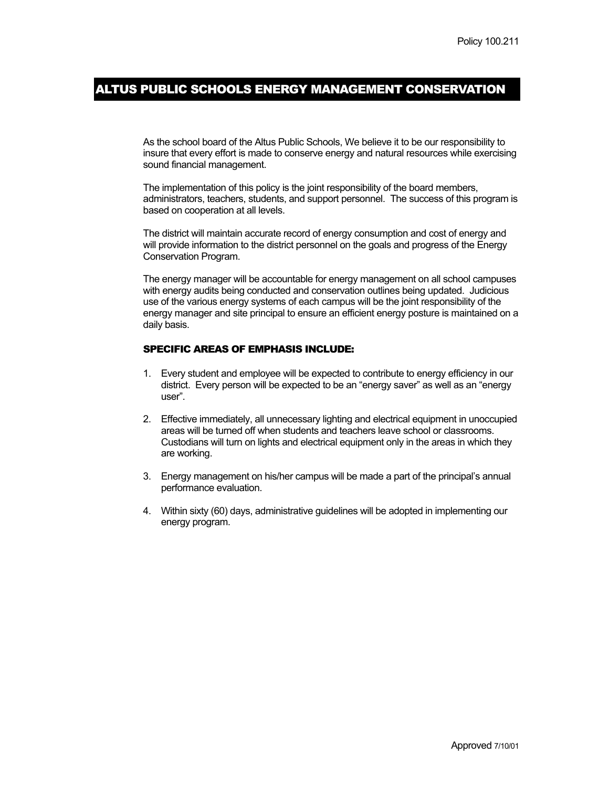### ALTUS PUBLIC SCHOOLS ENERGY MANAGEMENT CONSERVATION

As the school board of the Altus Public Schools, We believe it to be our responsibility to insure that every effort is made to conserve energy and natural resources while exercising sound financial management.

The implementation of this policy is the joint responsibility of the board members, administrators, teachers, students, and support personnel. The success of this program is based on cooperation at all levels.

The district will maintain accurate record of energy consumption and cost of energy and will provide information to the district personnel on the goals and progress of the Energy Conservation Program.

The energy manager will be accountable for energy management on all school campuses with energy audits being conducted and conservation outlines being updated. Judicious use of the various energy systems of each campus will be the joint responsibility of the energy manager and site principal to ensure an efficient energy posture is maintained on a daily basis.

#### SPECIFIC AREAS OF EMPHASIS INCLUDE:

- 1. Every student and employee will be expected to contribute to energy efficiency in our district. Every person will be expected to be an "energy saver" as well as an "energy user".
- 2. Effective immediately, all unnecessary lighting and electrical equipment in unoccupied areas will be turned off when students and teachers leave school or classrooms. Custodians will turn on lights and electrical equipment only in the areas in which they are working.
- 3. Energy management on his/her campus will be made a part of the principal's annual performance evaluation.
- 4. Within sixty (60) days, administrative guidelines will be adopted in implementing our energy program.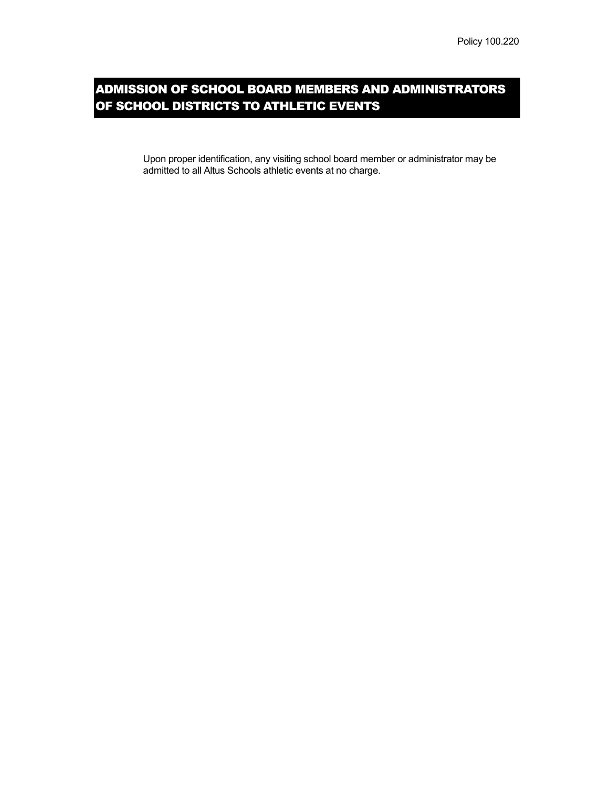## ADMISSION OF SCHOOL BOARD MEMBERS AND ADMINISTRATORS OF SCHOOL DISTRICTS TO ATHLETIC EVENTS

Upon proper identification, any visiting school board member or administrator may be admitted to all Altus Schools athletic events at no charge.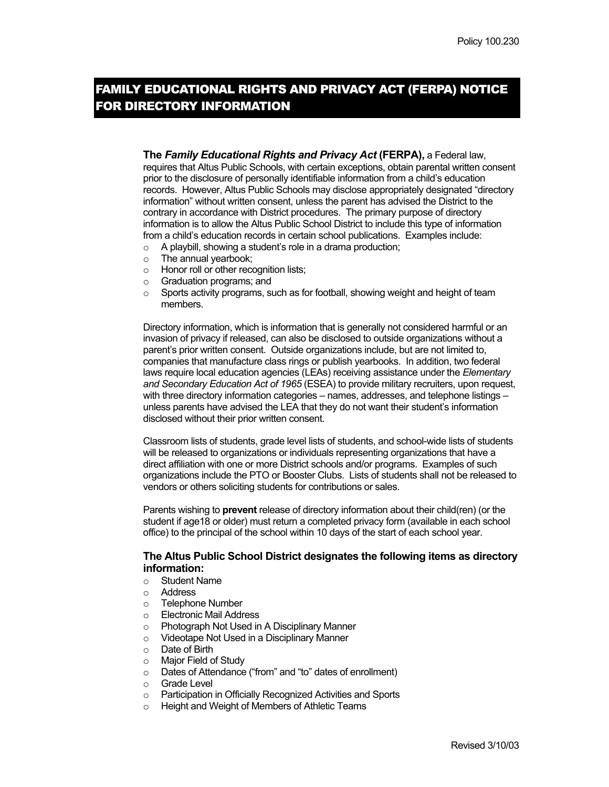### FAMILY EDUCATIONAL RIGHTS AND PRIVACY ACT (FERPA) NOTICE FOR DIRECTORY INFORMATION

**The** *Family Educational Rights and Privacy Act* **(FERPA),** a Federal law, requires that Altus Public Schools, with certain exceptions, obtain parental written consent prior to the disclosure of personally identifiable information from a child's education records. However, Altus Public Schools may disclose appropriately designated "directory information" without written consent, unless the parent has advised the District to the contrary in accordance with District procedures. The primary purpose of directory information is to allow the Altus Public School District to include this type of information from a child's education records in certain school publications. Examples include:

- o A playbill, showing a student's role in a drama production;
- o The annual yearbook;
- o Honor roll or other recognition lists;
- o Graduation programs; and
- $\circ$  Sports activity programs, such as for football, showing weight and height of team members.

Directory information, which is information that is generally not considered harmful or an invasion of privacy if released, can also be disclosed to outside organizations without a parent's prior written consent. Outside organizations include, but are not limited to, companies that manufacture class rings or publish yearbooks. In addition, two federal laws require local education agencies (LEAs) receiving assistance under the *Elementary and Secondary Education Act of 1965* (ESEA) to provide military recruiters, upon request, with three directory information categories – names, addresses, and telephone listings – unless parents have advised the LEA that they do not want their student's information disclosed without their prior written consent.

Classroom lists of students, grade level lists of students, and school-wide lists of students will be released to organizations or individuals representing organizations that have a direct affiliation with one or more District schools and/or programs. Examples of such organizations include the PTO or Booster Clubs. Lists of students shall not be released to vendors or others soliciting students for contributions or sales.

Parents wishing to **prevent** release of directory information about their child(ren) (or the student if age18 or older) must return a completed privacy form (available in each school office) to the principal of the school within 10 days of the start of each school year.

#### **The Altus Public School District designates the following items as directory information:**

- o Student Name
- o Address
- o Telephone Number
- o Electronic Mail Address
- o Photograph Not Used in A Disciplinary Manner
- o Videotape Not Used in a Disciplinary Manner
- o Date of Birth
- o Major Field of Study
- o Dates of Attendance ("from" and "to" dates of enrollment)
- o Grade Level
- o Participation in Officially Recognized Activities and Sports
- o Height and Weight of Members of Athletic Teams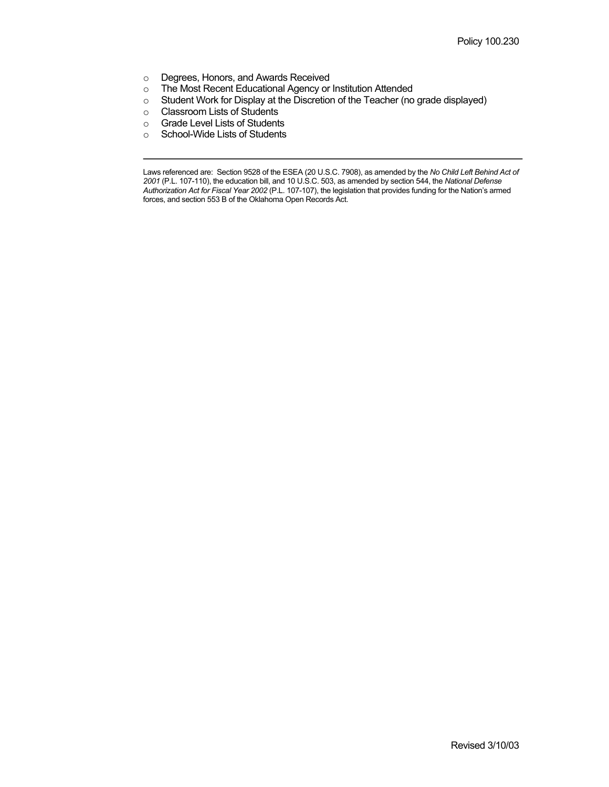- o Degrees, Honors, and Awards Received
- o The Most Recent Educational Agency or Institution Attended
- o Student Work for Display at the Discretion of the Teacher (no grade displayed)
- o Classroom Lists of Students
- o Grade Level Lists of Students
- o School-Wide Lists of Students

Laws referenced are: Section 9528 of the ESEA (20 U.S.C. 7908), as amended by the *No Child Left Behind Act of 2001* (P.L. 107-110), the education bill, and 10 U.S.C. 503, as amended by section 544, the *National Defense Authorization Act for Fiscal Year 2002* (P.L. 107-107), the legislation that provides funding for the Nation's armed forces, and section 553 B of the Oklahoma Open Records Act.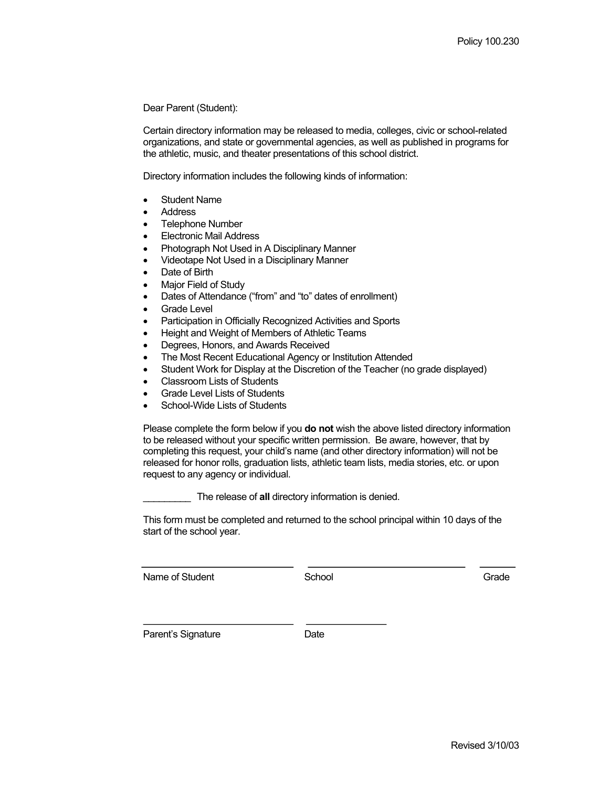Dear Parent (Student):

Certain directory information may be released to media, colleges, civic or school-related organizations, and state or governmental agencies, as well as published in programs for the athletic, music, and theater presentations of this school district.

Directory information includes the following kinds of information:

- **Student Name**
- **Address**
- Telephone Number
- Electronic Mail Address
- Photograph Not Used in A Disciplinary Manner
- Videotape Not Used in a Disciplinary Manner
- Date of Birth
- Major Field of Study
- Dates of Attendance ("from" and "to" dates of enrollment)
- Grade Level
- Participation in Officially Recognized Activities and Sports
- Height and Weight of Members of Athletic Teams
- Degrees, Honors, and Awards Received
- The Most Recent Educational Agency or Institution Attended
- Student Work for Display at the Discretion of the Teacher (no grade displayed)
- Classroom Lists of Students
- Grade Level Lists of Students
- School-Wide Lists of Students

Please complete the form below if you **do not** wish the above listed directory information to be released without your specific written permission. Be aware, however, that by completing this request, your child's name (and other directory information) will not be released for honor rolls, graduation lists, athletic team lists, media stories, etc. or upon request to any agency or individual.

The release of all directory information is denied.

This form must be completed and returned to the school principal within 10 days of the start of the school year.

Name of Student Carrier Controller School Creative Controller Creater Controller Creater Creater Controller C

Parent's Signature **Date**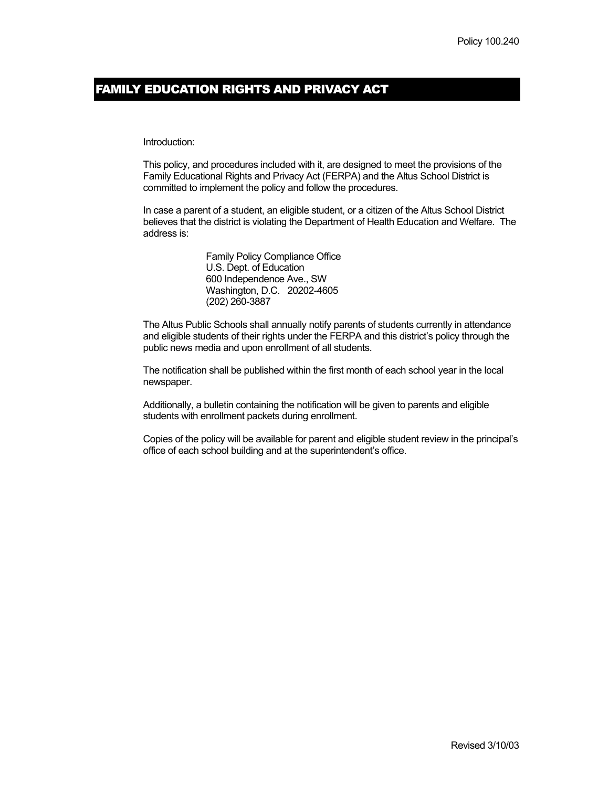### FAMILY EDUCATION RIGHTS AND PRIVACY ACT

Introduction:

This policy, and procedures included with it, are designed to meet the provisions of the Family Educational Rights and Privacy Act (FERPA) and the Altus School District is committed to implement the policy and follow the procedures.

In case a parent of a student, an eligible student, or a citizen of the Altus School District believes that the district is violating the Department of Health Education and Welfare. The address is:

> Family Policy Compliance Office U.S. Dept. of Education 600 Independence Ave., SW Washington, D.C. 20202-4605 (202) 260-3887

The Altus Public Schools shall annually notify parents of students currently in attendance and eligible students of their rights under the FERPA and this district's policy through the public news media and upon enrollment of all students.

The notification shall be published within the first month of each school year in the local newspaper.

Additionally, a bulletin containing the notification will be given to parents and eligible students with enrollment packets during enrollment.

Copies of the policy will be available for parent and eligible student review in the principal's office of each school building and at the superintendent's office.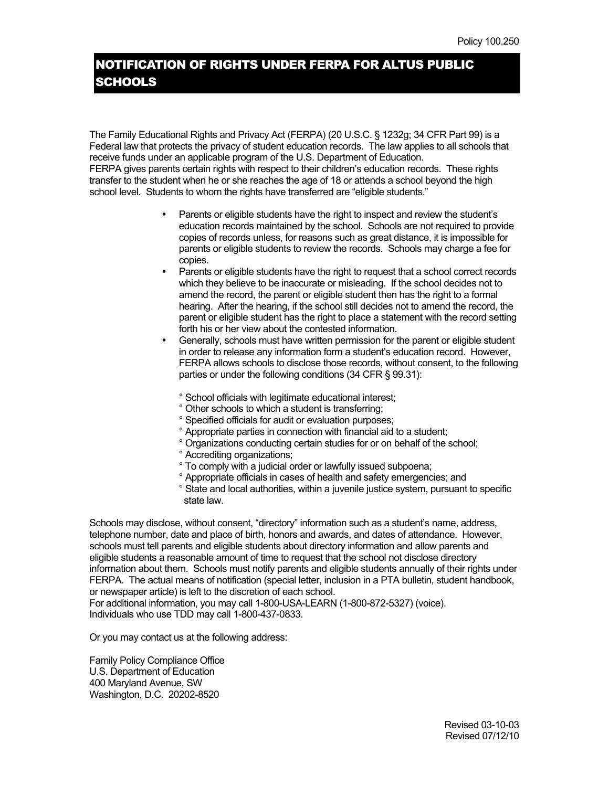### NOTIFICATION OF RIGHTS UNDER FERPA FOR ALTUS PUBLIC **SCHOOLS**

The Family Educational Rights and Privacy Act (FERPA) (20 U.S.C. § 1232g; 34 CFR Part 99) is a Federal law that protects the privacy of student education records. The law applies to all schools that receive funds under an applicable program of the U.S. Department of Education.

FERPA gives parents certain rights with respect to their children's education records. These rights transfer to the student when he or she reaches the age of 18 or attends a school beyond the high school level. Students to whom the rights have transferred are "eligible students."

- Parents or eligible students have the right to inspect and review the student's education records maintained by the school. Schools are not required to provide copies of records unless, for reasons such as great distance, it is impossible for parents or eligible students to review the records. Schools may charge a fee for copies.
- Parents or eligible students have the right to request that a school correct records which they believe to be inaccurate or misleading. If the school decides not to amend the record, the parent or eligible student then has the right to a formal hearing. After the hearing, if the school still decides not to amend the record, the parent or eligible student has the right to place a statement with the record setting forth his or her view about the contested information.
- Generally, schools must have written permission for the parent or eligible student in order to release any information form a student's education record. However, FERPA allows schools to disclose those records, without consent, to the following parties or under the following conditions (34 CFR § 99.31):
	- ° School officials with legitimate educational interest;
	- ° Other schools to which a student is transferring;
	- ° Specified officials for audit or evaluation purposes;
	- ° Appropriate parties in connection with financial aid to a student;
	- ° Organizations conducting certain studies for or on behalf of the school;
	- ° Accrediting organizations;
	- ° To comply with a judicial order or lawfully issued subpoena;
	- ° Appropriate officials in cases of health and safety emergencies; and
	- ° State and local authorities, within a juvenile justice system, pursuant to specific state law.

Schools may disclose, without consent, "directory" information such as a student's name, address, telephone number, date and place of birth, honors and awards, and dates of attendance. However, schools must tell parents and eligible students about directory information and allow parents and eligible students a reasonable amount of time to request that the school not disclose directory information about them. Schools must notify parents and eligible students annually of their rights under FERPA. The actual means of notification (special letter, inclusion in a PTA bulletin, student handbook, or newspaper article) is left to the discretion of each school.

For additional information, you may call 1-800-USA-LEARN (1-800-872-5327) (voice). Individuals who use TDD may call 1-800-437-0833.

Or you may contact us at the following address:

Family Policy Compliance Office U.S. Department of Education 400 Maryland Avenue, SW Washington, D.C. 20202-8520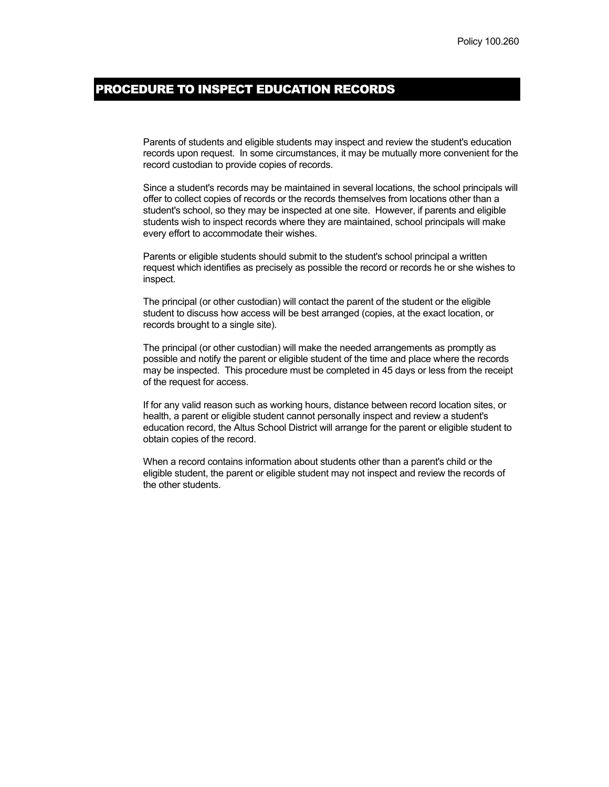### PROCEDURE TO INSPECT EDUCATION RECORDS

Parents of students and eligible students may inspect and review the student's education records upon request. In some circumstances, it may be mutually more convenient for the record custodian to provide copies of records.

Since a student's records may be maintained in several locations, the school principals will offer to collect copies of records or the records themselves from locations other than a student's school, so they may be inspected at one site. However, if parents and eligible students wish to inspect records where they are maintained, school principals will make every effort to accommodate their wishes.

Parents or eligible students should submit to the student's school principal a written request which identifies as precisely as possible the record or records he or she wishes to inspect.

The principal (or other custodian) will contact the parent of the student or the eligible student to discuss how access will be best arranged (copies, at the exact location, or records brought to a single site).

The principal (or other custodian) will make the needed arrangements as promptly as possible and notify the parent or eligible student of the time and place where the records may be inspected. This procedure must be completed in 45 days or less from the receipt of the request for access.

If for any valid reason such as working hours, distance between record location sites, or health, a parent or eligible student cannot personally inspect and review a student's education record, the Altus School District will arrange for the parent or eligible student to obtain copies of the record.

When a record contains information about students other than a parent's child or the eligible student, the parent or eligible student may not inspect and review the records of the other students.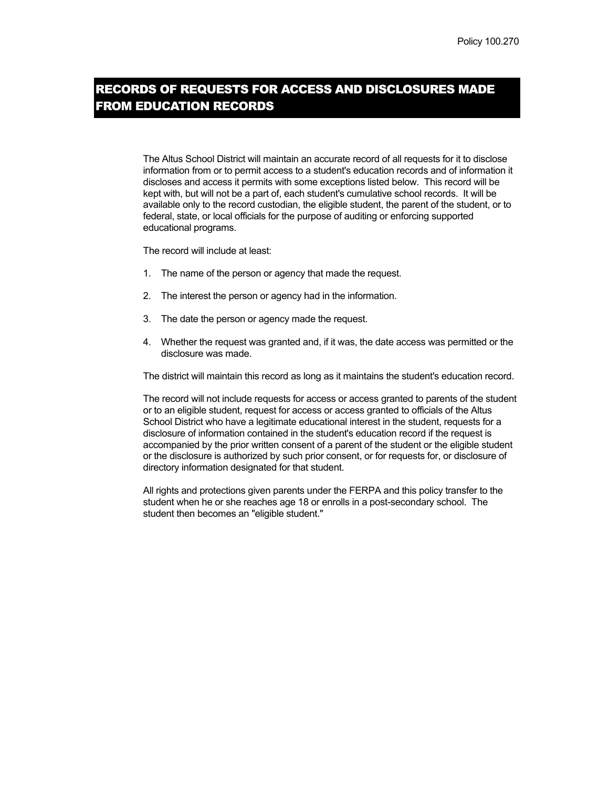### RECORDS OF REQUESTS FOR ACCESS AND DISCLOSURES MADE FROM EDUCATION RECORDS

The Altus School District will maintain an accurate record of all requests for it to disclose information from or to permit access to a student's education records and of information it discloses and access it permits with some exceptions listed below. This record will be kept with, but will not be a part of, each student's cumulative school records. It will be available only to the record custodian, the eligible student, the parent of the student, or to federal, state, or local officials for the purpose of auditing or enforcing supported educational programs.

The record will include at least:

- 1. The name of the person or agency that made the request.
- 2. The interest the person or agency had in the information.
- 3. The date the person or agency made the request.
- 4. Whether the request was granted and, if it was, the date access was permitted or the disclosure was made.

The district will maintain this record as long as it maintains the student's education record.

The record will not include requests for access or access granted to parents of the student or to an eligible student, request for access or access granted to officials of the Altus School District who have a legitimate educational interest in the student, requests for a disclosure of information contained in the student's education record if the request is accompanied by the prior written consent of a parent of the student or the eligible student or the disclosure is authorized by such prior consent, or for requests for, or disclosure of directory information designated for that student.

All rights and protections given parents under the FERPA and this policy transfer to the student when he or she reaches age 18 or enrolls in a post-secondary school. The student then becomes an "eligible student."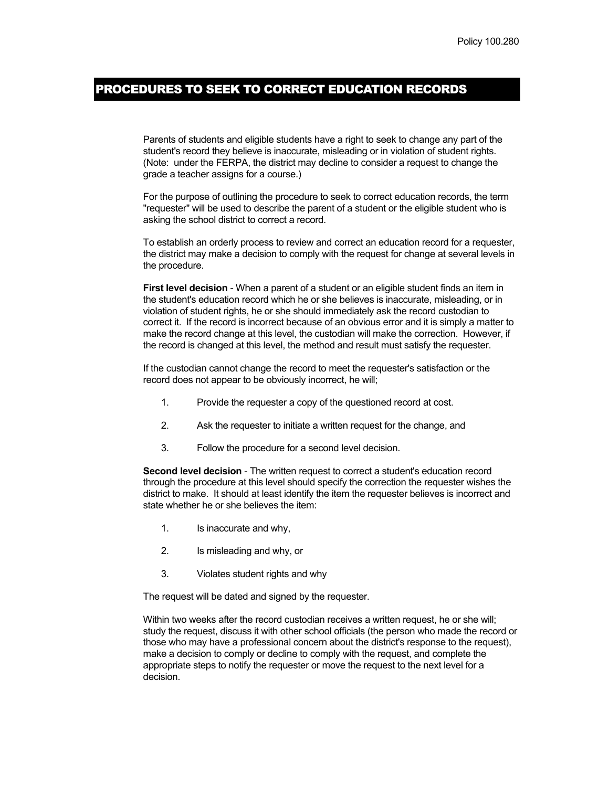### PROCEDURES TO SEEK TO CORRECT EDUCATION RECORDS

Parents of students and eligible students have a right to seek to change any part of the student's record they believe is inaccurate, misleading or in violation of student rights. (Note: under the FERPA, the district may decline to consider a request to change the grade a teacher assigns for a course.)

For the purpose of outlining the procedure to seek to correct education records, the term "requester" will be used to describe the parent of a student or the eligible student who is asking the school district to correct a record.

To establish an orderly process to review and correct an education record for a requester, the district may make a decision to comply with the request for change at several levels in the procedure.

**First level decision** - When a parent of a student or an eligible student finds an item in the student's education record which he or she believes is inaccurate, misleading, or in violation of student rights, he or she should immediately ask the record custodian to correct it. If the record is incorrect because of an obvious error and it is simply a matter to make the record change at this level, the custodian will make the correction. However, if the record is changed at this level, the method and result must satisfy the requester.

If the custodian cannot change the record to meet the requester's satisfaction or the record does not appear to be obviously incorrect, he will;

- 1. Provide the requester a copy of the questioned record at cost.
- 2. Ask the requester to initiate a written request for the change, and
- 3. Follow the procedure for a second level decision.

**Second level decision** - The written request to correct a student's education record through the procedure at this level should specify the correction the requester wishes the district to make. It should at least identify the item the requester believes is incorrect and state whether he or she believes the item:

- 1. Is inaccurate and why,
- 2. Is misleading and why, or
- 3. Violates student rights and why

The request will be dated and signed by the requester.

Within two weeks after the record custodian receives a written request, he or she will; study the request, discuss it with other school officials (the person who made the record or those who may have a professional concern about the district's response to the request), make a decision to comply or decline to comply with the request, and complete the appropriate steps to notify the requester or move the request to the next level for a decision.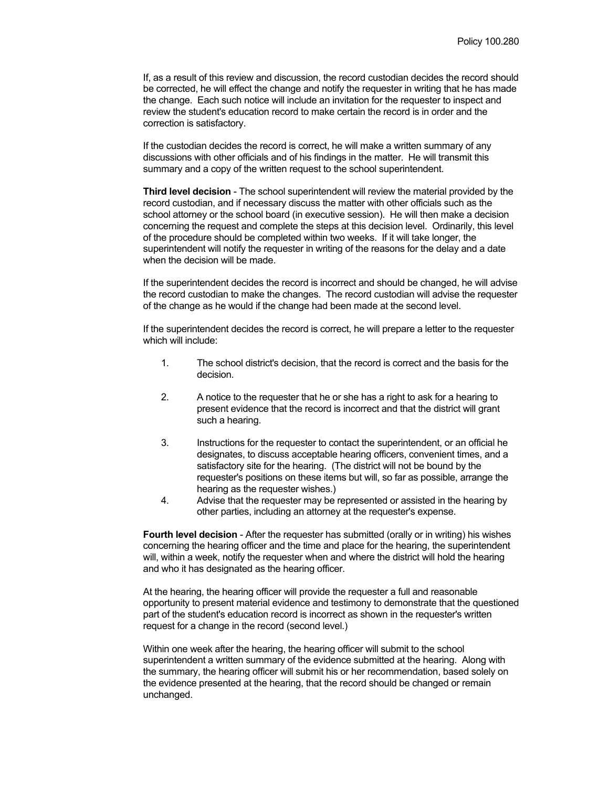If, as a result of this review and discussion, the record custodian decides the record should be corrected, he will effect the change and notify the requester in writing that he has made the change. Each such notice will include an invitation for the requester to inspect and review the student's education record to make certain the record is in order and the correction is satisfactory.

If the custodian decides the record is correct, he will make a written summary of any discussions with other officials and of his findings in the matter. He will transmit this summary and a copy of the written request to the school superintendent.

**Third level decision** - The school superintendent will review the material provided by the record custodian, and if necessary discuss the matter with other officials such as the school attorney or the school board (in executive session). He will then make a decision concerning the request and complete the steps at this decision level. Ordinarily, this level of the procedure should be completed within two weeks. If it will take longer, the superintendent will notify the requester in writing of the reasons for the delay and a date when the decision will be made.

If the superintendent decides the record is incorrect and should be changed, he will advise the record custodian to make the changes. The record custodian will advise the requester of the change as he would if the change had been made at the second level.

If the superintendent decides the record is correct, he will prepare a letter to the requester which will include:

- 1. The school district's decision, that the record is correct and the basis for the decision.
- 2. A notice to the requester that he or she has a right to ask for a hearing to present evidence that the record is incorrect and that the district will grant such a hearing.
- 3. Instructions for the requester to contact the superintendent, or an official he designates, to discuss acceptable hearing officers, convenient times, and a satisfactory site for the hearing. (The district will not be bound by the requester's positions on these items but will, so far as possible, arrange the hearing as the requester wishes.)
- 4. Advise that the requester may be represented or assisted in the hearing by other parties, including an attorney at the requester's expense.

**Fourth level decision** - After the requester has submitted (orally or in writing) his wishes concerning the hearing officer and the time and place for the hearing, the superintendent will, within a week, notify the requester when and where the district will hold the hearing and who it has designated as the hearing officer.

At the hearing, the hearing officer will provide the requester a full and reasonable opportunity to present material evidence and testimony to demonstrate that the questioned part of the student's education record is incorrect as shown in the requester's written request for a change in the record (second level.)

Within one week after the hearing, the hearing officer will submit to the school superintendent a written summary of the evidence submitted at the hearing. Along with the summary, the hearing officer will submit his or her recommendation, based solely on the evidence presented at the hearing, that the record should be changed or remain unchanged.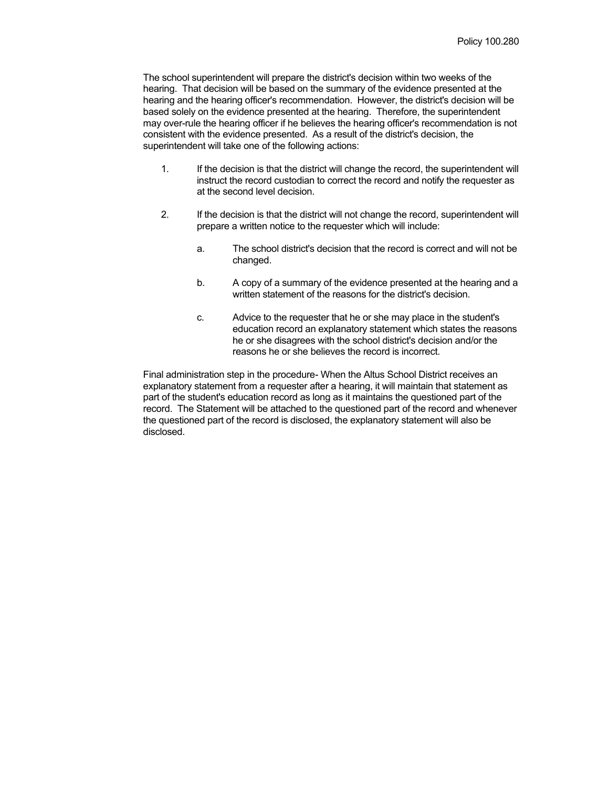The school superintendent will prepare the district's decision within two weeks of the hearing. That decision will be based on the summary of the evidence presented at the hearing and the hearing officer's recommendation. However, the district's decision will be based solely on the evidence presented at the hearing. Therefore, the superintendent may over-rule the hearing officer if he believes the hearing officer's recommendation is not consistent with the evidence presented. As a result of the district's decision, the superintendent will take one of the following actions:

- 1. If the decision is that the district will change the record, the superintendent will instruct the record custodian to correct the record and notify the requester as at the second level decision.
- 2. If the decision is that the district will not change the record, superintendent will prepare a written notice to the requester which will include:
	- a. The school district's decision that the record is correct and will not be changed.
	- b. A copy of a summary of the evidence presented at the hearing and a written statement of the reasons for the district's decision.
	- c. Advice to the requester that he or she may place in the student's education record an explanatory statement which states the reasons he or she disagrees with the school district's decision and/or the reasons he or she believes the record is incorrect.

Final administration step in the procedure- When the Altus School District receives an explanatory statement from a requester after a hearing, it will maintain that statement as part of the student's education record as long as it maintains the questioned part of the record. The Statement will be attached to the questioned part of the record and whenever the questioned part of the record is disclosed, the explanatory statement will also be disclosed.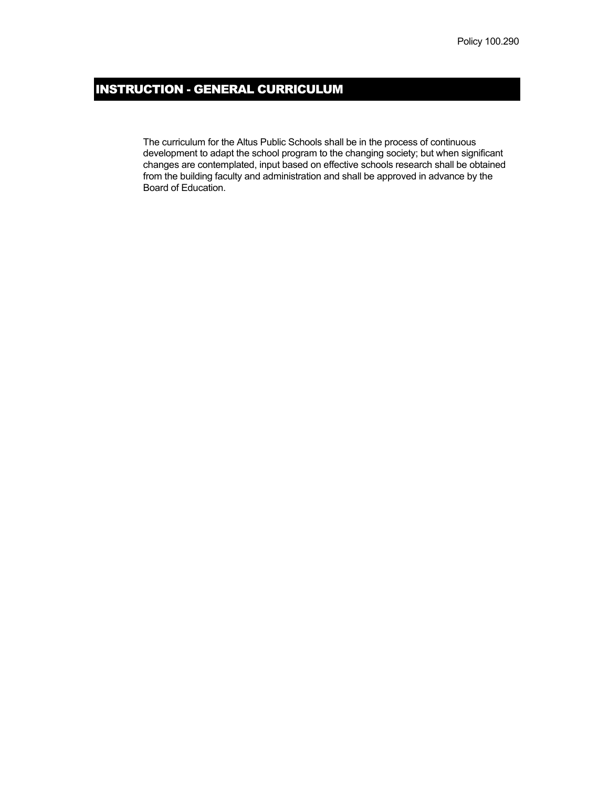## INSTRUCTION - GENERAL CURRICULUM

The curriculum for the Altus Public Schools shall be in the process of continuous development to adapt the school program to the changing society; but when significant changes are contemplated, input based on effective schools research shall be obtained from the building faculty and administration and shall be approved in advance by the Board of Education.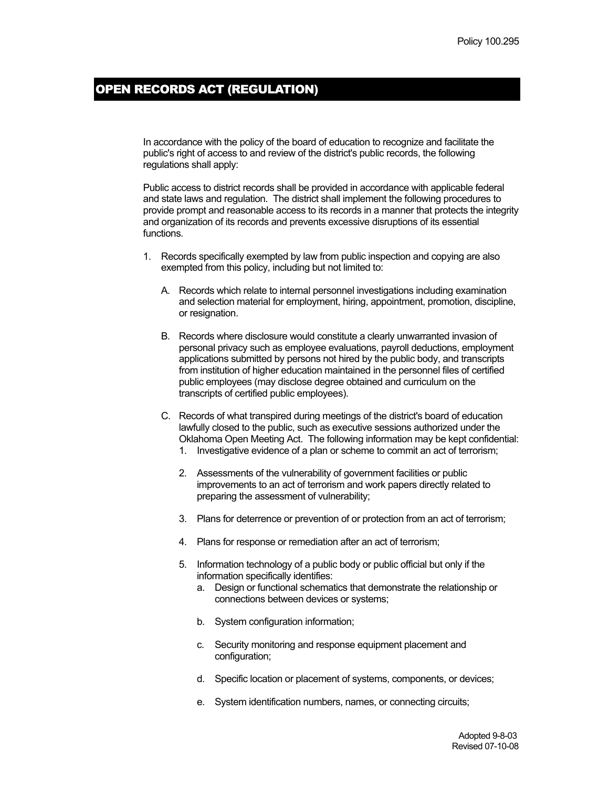## OPEN RECORDS ACT (REGULATION)

In accordance with the policy of the board of education to recognize and facilitate the public's right of access to and review of the district's public records, the following regulations shall apply:

Public access to district records shall be provided in accordance with applicable federal and state laws and regulation. The district shall implement the following procedures to provide prompt and reasonable access to its records in a manner that protects the integrity and organization of its records and prevents excessive disruptions of its essential functions.

- 1. Records specifically exempted by law from public inspection and copying are also exempted from this policy, including but not limited to:
	- A. Records which relate to internal personnel investigations including examination and selection material for employment, hiring, appointment, promotion, discipline, or resignation.
	- B. Records where disclosure would constitute a clearly unwarranted invasion of personal privacy such as employee evaluations, payroll deductions, employment applications submitted by persons not hired by the public body, and transcripts from institution of higher education maintained in the personnel files of certified public employees (may disclose degree obtained and curriculum on the transcripts of certified public employees).
	- C. Records of what transpired during meetings of the district's board of education lawfully closed to the public, such as executive sessions authorized under the Oklahoma Open Meeting Act. The following information may be kept confidential:
		- 1. Investigative evidence of a plan or scheme to commit an act of terrorism;
		- 2. Assessments of the vulnerability of government facilities or public improvements to an act of terrorism and work papers directly related to preparing the assessment of vulnerability;
		- 3. Plans for deterrence or prevention of or protection from an act of terrorism;
		- 4. Plans for response or remediation after an act of terrorism;
		- 5. Information technology of a public body or public official but only if the information specifically identifies:
			- a. Design or functional schematics that demonstrate the relationship or connections between devices or systems;
			- b. System configuration information;
			- c. Security monitoring and response equipment placement and configuration;
			- d. Specific location or placement of systems, components, or devices;
			- e. System identification numbers, names, or connecting circuits;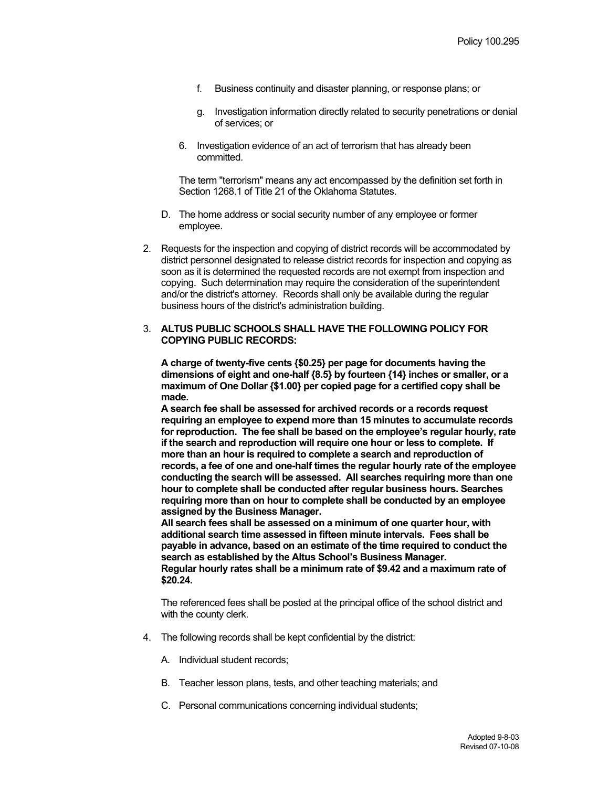- f. Business continuity and disaster planning, or response plans; or
- g. Investigation information directly related to security penetrations or denial of services; or
- 6. Investigation evidence of an act of terrorism that has already been committed.

The term "terrorism" means any act encompassed by the definition set forth in Section 1268.1 of Title 21 of the Oklahoma Statutes.

- D. The home address or social security number of any employee or former employee.
- 2. Requests for the inspection and copying of district records will be accommodated by district personnel designated to release district records for inspection and copying as soon as it is determined the requested records are not exempt from inspection and copying. Such determination may require the consideration of the superintendent and/or the district's attorney. Records shall only be available during the regular business hours of the district's administration building.

#### 3. **ALTUS PUBLIC SCHOOLS SHALL HAVE THE FOLLOWING POLICY FOR COPYING PUBLIC RECORDS:**

**A charge of twenty-five cents {\$0.25} per page for documents having the dimensions of eight and one-half {8.5} by fourteen {14} inches or smaller, or a maximum of One Dollar {\$1.00} per copied page for a certified copy shall be made.**

**A search fee shall be assessed for archived records or a records request requiring an employee to expend more than 15 minutes to accumulate records for reproduction. The fee shall be based on the employee's regular hourly, rate if the search and reproduction will require one hour or less to complete. If more than an hour is required to complete a search and reproduction of records, a fee of one and one-half times the regular hourly rate of the employee conducting the search will be assessed. All searches requiring more than one hour to complete shall be conducted after regular business hours. Searches requiring more than on hour to complete shall be conducted by an employee assigned by the Business Manager.**

**All search fees shall be assessed on a minimum of one quarter hour, with additional search time assessed in fifteen minute intervals. Fees shall be payable in advance, based on an estimate of the time required to conduct the search as established by the Altus School's Business Manager. Regular hourly rates shall be a minimum rate of \$9.42 and a maximum rate of \$20.24.**

The referenced fees shall be posted at the principal office of the school district and with the county clerk.

- 4. The following records shall be kept confidential by the district:
	- A. Individual student records;
	- B. Teacher lesson plans, tests, and other teaching materials; and
	- C. Personal communications concerning individual students;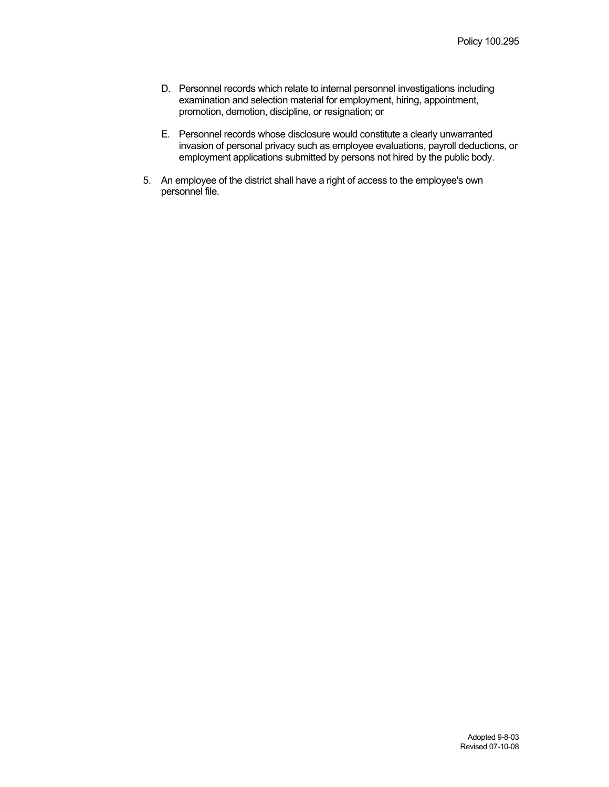- D. Personnel records which relate to internal personnel investigations including examination and selection material for employment, hiring, appointment, promotion, demotion, discipline, or resignation; or
- E. Personnel records whose disclosure would constitute a clearly unwarranted invasion of personal privacy such as employee evaluations, payroll deductions, or employment applications submitted by persons not hired by the public body.
- 5. An employee of the district shall have a right of access to the employee's own personnel file.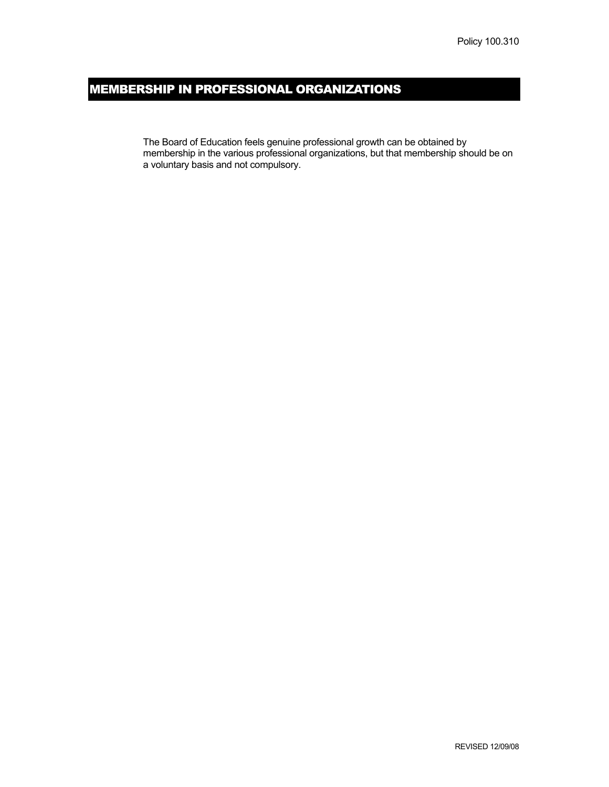### MEMBERSHIP IN PROFESSIONAL ORGANIZATIONS

The Board of Education feels genuine professional growth can be obtained by membership in the various professional organizations, but that membership should be on a voluntary basis and not compulsory.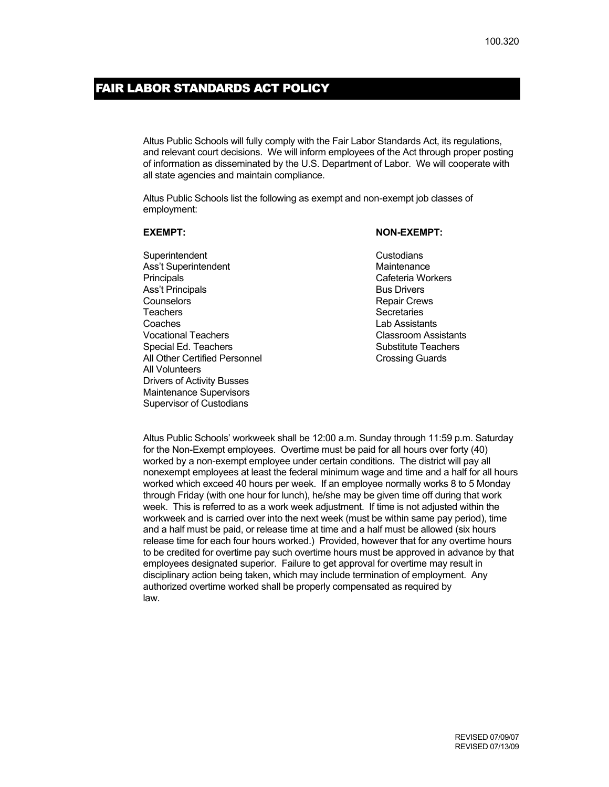### FAIR LABOR STANDARDS ACT POLICY

Altus Public Schools will fully comply with the Fair Labor Standards Act, its regulations, and relevant court decisions. We will inform employees of the Act through proper posting of information as disseminated by the U.S. Department of Labor. We will cooperate with all state agencies and maintain compliance.

Altus Public Schools list the following as exempt and non-exempt job classes of employment:

Superintendent Custodians Ass't Superintendent Maintenance Principals **Cafeteria Workers** Ass't Principals **Bus Drivers** Bus Drivers Counselors **Counselors Repair Crews** Teachers **Secretaries** Coaches<br>
Vocational Teachers<br>
Vocational Teachers<br>
Classroom Ass Special Ed. Teachers Substitute Teachers Substitute Teachers All Other Certified Personnel Crossing Guards All Volunteers Drivers of Activity Busses Maintenance Supervisors Supervisor of Custodians

#### **EXEMPT: NON-EXEMPT:**

Classroom Assistants

Altus Public Schools' workweek shall be 12:00 a.m. Sunday through 11:59 p.m. Saturday for the Non-Exempt employees. Overtime must be paid for all hours over forty (40) worked by a non-exempt employee under certain conditions. The district will pay all nonexempt employees at least the federal minimum wage and time and a half for all hours worked which exceed 40 hours per week. If an employee normally works 8 to 5 Monday through Friday (with one hour for lunch), he/she may be given time off during that work week. This is referred to as a work week adjustment. If time is not adjusted within the workweek and is carried over into the next week (must be within same pay period), time and a half must be paid, or release time at time and a half must be allowed (six hours release time for each four hours worked.) Provided, however that for any overtime hours to be credited for overtime pay such overtime hours must be approved in advance by that employees designated superior. Failure to get approval for overtime may result in disciplinary action being taken, which may include termination of employment. Any authorized overtime worked shall be properly compensated as required by law.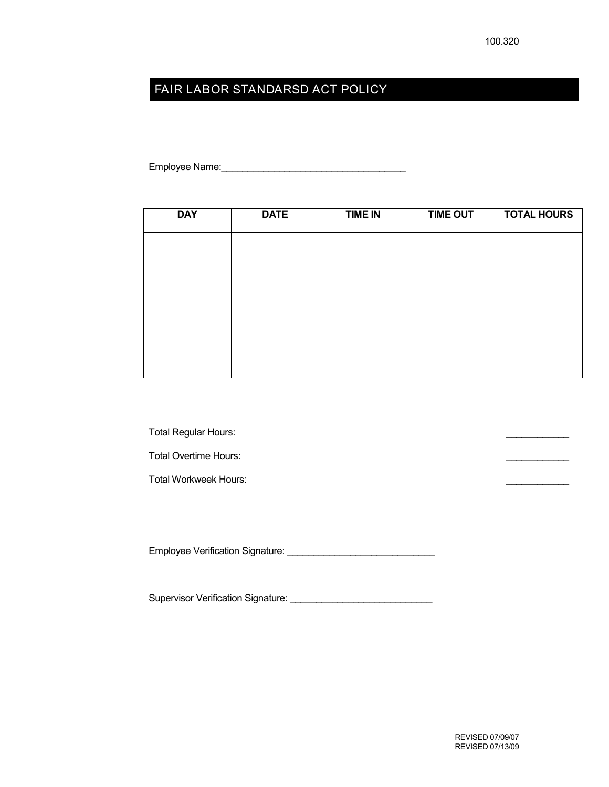## FAIR LABOR STANDARSD ACT POLICY

Employee Name:\_\_\_\_\_\_\_\_\_\_\_\_\_\_\_\_\_\_\_\_\_\_\_\_\_\_\_\_\_\_\_\_\_\_\_

| <b>DAY</b> | <b>DATE</b> | <b>TIME IN</b> | <b>TIME OUT</b> | <b>TOTAL HOURS</b> |
|------------|-------------|----------------|-----------------|--------------------|
|            |             |                |                 |                    |
|            |             |                |                 |                    |
|            |             |                |                 |                    |
|            |             |                |                 |                    |
|            |             |                |                 |                    |
|            |             |                |                 |                    |

Total Regular Hours:

Total Overtime Hours:

Total Workweek Hours: \_\_\_\_\_\_\_\_\_\_\_\_

Employee Verification Signature: \_\_\_\_\_\_\_\_\_\_\_\_\_\_\_\_\_\_\_\_\_\_\_\_\_\_\_\_

Supervisor Verification Signature: \_\_\_\_\_\_\_\_\_\_\_\_\_\_\_\_\_\_\_\_\_\_\_\_\_\_\_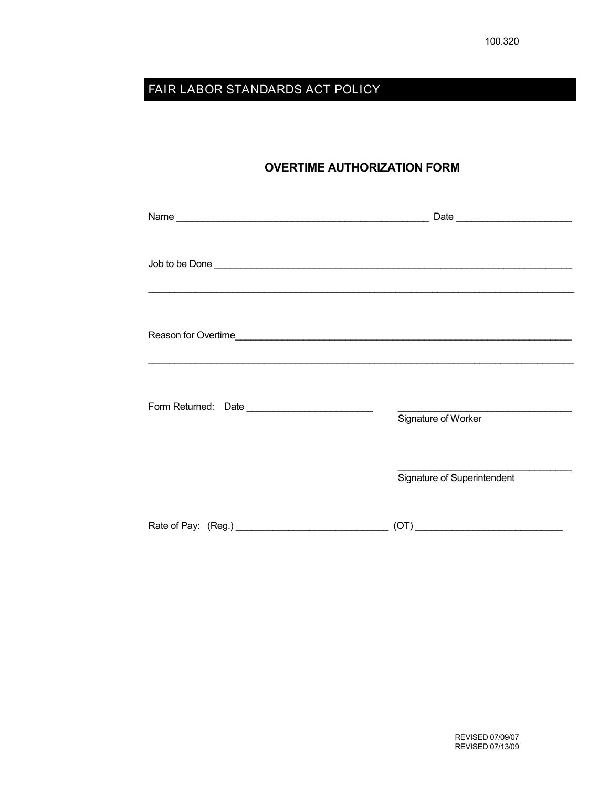## FAIR LABOR STANDARDS ACT POLICY

### **OVERTIME AUTHORIZATION FORM**

|                                                                                   | Date ___________________________ |
|-----------------------------------------------------------------------------------|----------------------------------|
|                                                                                   |                                  |
|                                                                                   |                                  |
|                                                                                   |                                  |
| ,我们也不能在这里的人,我们也不能在这里的人,我们也不能在这里的人,我们也不能在这里的人,我们也不能在这里的人,我们也不能在这里的人,我们也不能在这里的人,我们也 |                                  |
|                                                                                   |                                  |
|                                                                                   |                                  |
|                                                                                   |                                  |
|                                                                                   |                                  |
|                                                                                   |                                  |
|                                                                                   | Signature of Worker              |
|                                                                                   |                                  |
|                                                                                   |                                  |
|                                                                                   | Signature of Superintendent      |
|                                                                                   |                                  |
|                                                                                   |                                  |
|                                                                                   |                                  |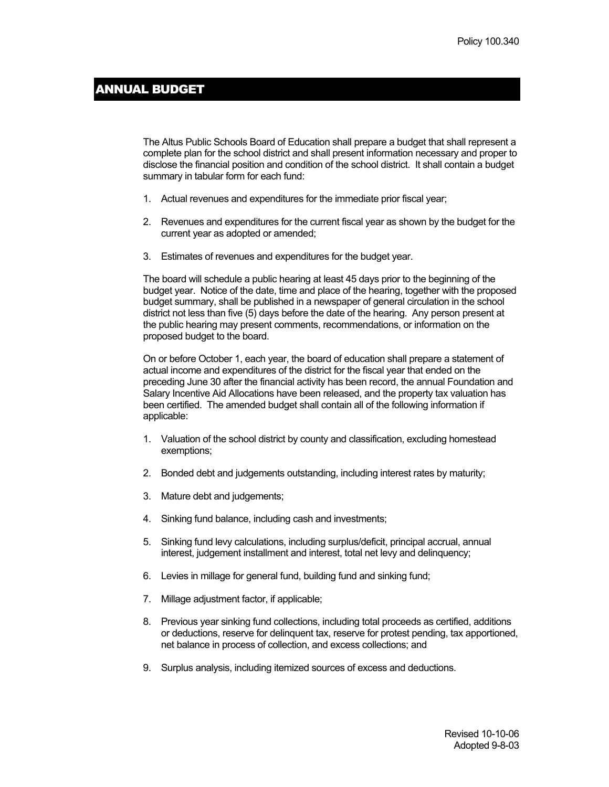### ANNUAL BUDGET

The Altus Public Schools Board of Education shall prepare a budget that shall represent a complete plan for the school district and shall present information necessary and proper to disclose the financial position and condition of the school district. It shall contain a budget summary in tabular form for each fund:

- 1. Actual revenues and expenditures for the immediate prior fiscal year;
- 2. Revenues and expenditures for the current fiscal year as shown by the budget for the current year as adopted or amended;
- 3. Estimates of revenues and expenditures for the budget year.

The board will schedule a public hearing at least 45 days prior to the beginning of the budget year. Notice of the date, time and place of the hearing, together with the proposed budget summary, shall be published in a newspaper of general circulation in the school district not less than five (5) days before the date of the hearing. Any person present at the public hearing may present comments, recommendations, or information on the proposed budget to the board.

On or before October 1, each year, the board of education shall prepare a statement of actual income and expenditures of the district for the fiscal year that ended on the preceding June 30 after the financial activity has been record, the annual Foundation and Salary Incentive Aid Allocations have been released, and the property tax valuation has been certified. The amended budget shall contain all of the following information if applicable:

- 1. Valuation of the school district by county and classification, excluding homestead exemptions;
- 2. Bonded debt and judgements outstanding, including interest rates by maturity;
- 3. Mature debt and judgements;
- 4. Sinking fund balance, including cash and investments;
- 5. Sinking fund levy calculations, including surplus/deficit, principal accrual, annual interest, judgement installment and interest, total net levy and delinquency;
- 6. Levies in millage for general fund, building fund and sinking fund;
- 7. Millage adjustment factor, if applicable;
- 8. Previous year sinking fund collections, including total proceeds as certified, additions or deductions, reserve for delinquent tax, reserve for protest pending, tax apportioned, net balance in process of collection, and excess collections; and
- 9. Surplus analysis, including itemized sources of excess and deductions.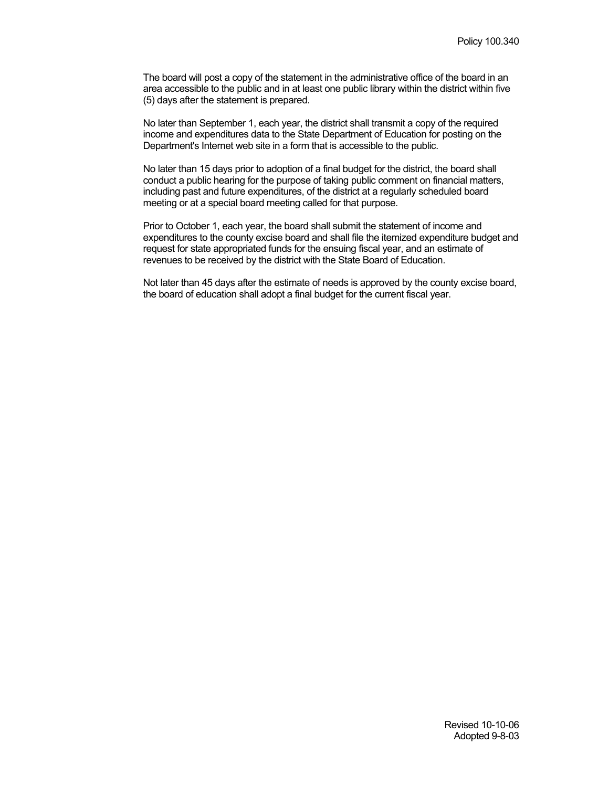The board will post a copy of the statement in the administrative office of the board in an area accessible to the public and in at least one public library within the district within five (5) days after the statement is prepared.

No later than September 1, each year, the district shall transmit a copy of the required income and expenditures data to the State Department of Education for posting on the Department's Internet web site in a form that is accessible to the public.

No later than 15 days prior to adoption of a final budget for the district, the board shall conduct a public hearing for the purpose of taking public comment on financial matters, including past and future expenditures, of the district at a regularly scheduled board meeting or at a special board meeting called for that purpose.

Prior to October 1, each year, the board shall submit the statement of income and expenditures to the county excise board and shall file the itemized expenditure budget and request for state appropriated funds for the ensuing fiscal year, and an estimate of revenues to be received by the district with the State Board of Education.

Not later than 45 days after the estimate of needs is approved by the county excise board, the board of education shall adopt a final budget for the current fiscal year.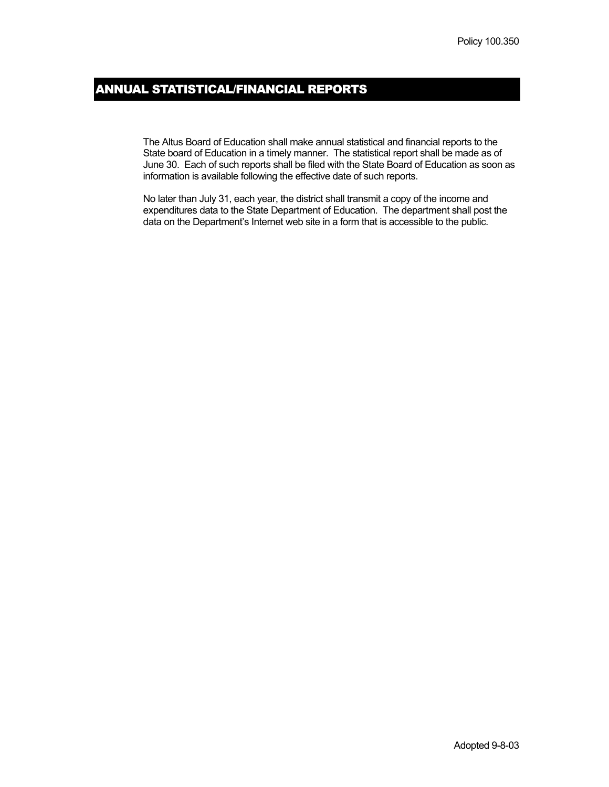### ANNUAL STATISTICAL/FINANCIAL REPORTS

The Altus Board of Education shall make annual statistical and financial reports to the State board of Education in a timely manner. The statistical report shall be made as of June 30. Each of such reports shall be filed with the State Board of Education as soon as information is available following the effective date of such reports.

No later than July 31, each year, the district shall transmit a copy of the income and expenditures data to the State Department of Education. The department shall post the data on the Department's Internet web site in a form that is accessible to the public.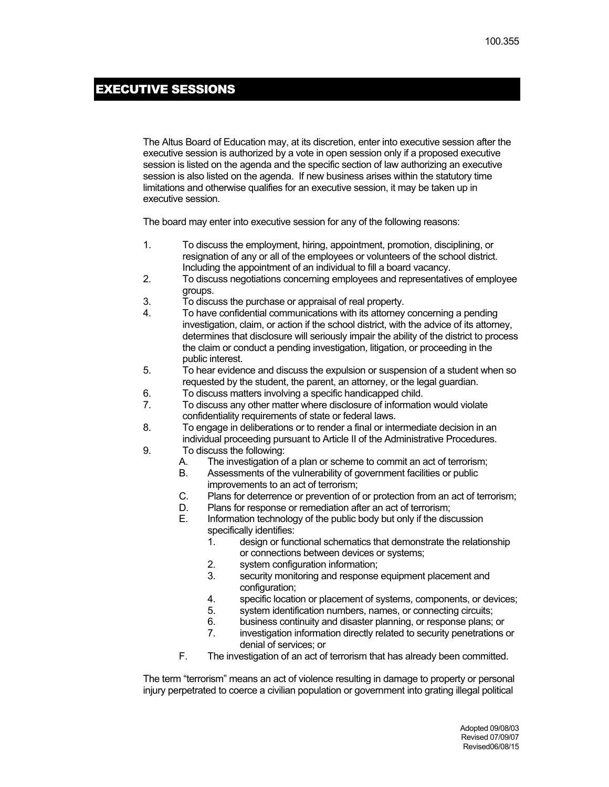### EXECUTIVE SESSIONS

The Altus Board of Education may, at its discretion, enter into executive session after the executive session is authorized by a vote in open session only if a proposed executive session is listed on the agenda and the specific section of law authorizing an executive session is also listed on the agenda. If new business arises within the statutory time limitations and otherwise qualifies for an executive session, it may be taken up in executive session.

The board may enter into executive session for any of the following reasons:

- 1. To discuss the employment, hiring, appointment, promotion, disciplining, or resignation of any or all of the employees or volunteers of the school district. Including the appointment of an individual to fill a board vacancy.
- 2. To discuss negotiations concerning employees and representatives of employee groups.
- 3. To discuss the purchase or appraisal of real property.
- 4. To have confidential communications with its attorney concerning a pending investigation, claim, or action if the school district, with the advice of its attorney, determines that disclosure will seriously impair the ability of the district to process the claim or conduct a pending investigation, litigation, or proceeding in the public interest.
- 5. To hear evidence and discuss the expulsion or suspension of a student when so requested by the student, the parent, an attorney, or the legal guardian.
- 6. To discuss matters involving a specific handicapped child.
- 7. To discuss any other matter where disclosure of information would violate confidentiality requirements of state or federal laws.
- 8. To engage in deliberations or to render a final or intermediate decision in an individual proceeding pursuant to Article II of the Administrative Procedures.
- 9. To discuss the following:
	- A. The investigation of a plan or scheme to commit an act of terrorism;
	- B. Assessments of the vulnerability of government facilities or public improvements to an act of terrorism;
	- C. Plans for deterrence or prevention of or protection from an act of terrorism;
	- D. Plans for response or remediation after an act of terrorism;
	- E. Information technology of the public body but only if the discussion specifically identifies:
		- 1. design or functional schematics that demonstrate the relationship or connections between devices or systems;
		- 2. system configuration information;
		- 3. security monitoring and response equipment placement and configuration;
		- 4. specific location or placement of systems, components, or devices;
		- 5. system identification numbers, names, or connecting circuits;
		- 6. business continuity and disaster planning, or response plans; or
		- 7. investigation information directly related to security penetrations or denial of services; or
	- F. The investigation of an act of terrorism that has already been committed.

The term "terrorism" means an act of violence resulting in damage to property or personal injury perpetrated to coerce a civilian population or government into grating illegal political